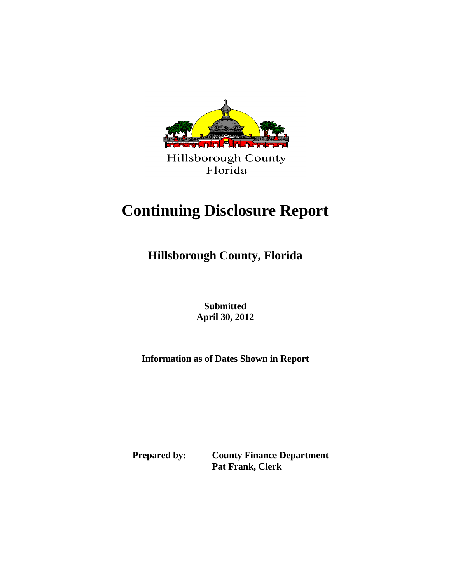

# **Continuing Disclosure Report**

**Hillsborough County, Florida**

 **Submitted April 30, 2012** 

**Information as of Dates Shown in Report**

 **Prepared by: County Finance Department Pat Frank, Clerk**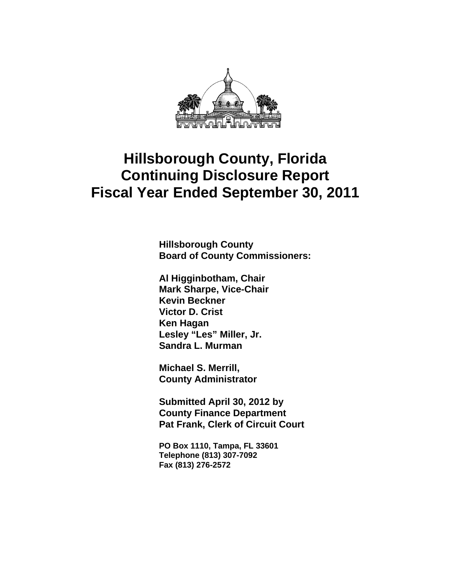

**Hillsborough County Board of County Commissioners:** 

**Al Higginbotham, Chair Mark Sharpe, Vice-Chair Kevin Beckner Victor D. Crist Ken Hagan Lesley "Les" Miller, Jr. Sandra L. Murman** 

**Michael S. Merrill, County Administrator** 

**Submitted April 30, 2012 by County Finance Department Pat Frank, Clerk of Circuit Court** 

**PO Box 1110, Tampa, FL 33601 Telephone (813) 307-7092 Fax (813) 276-2572**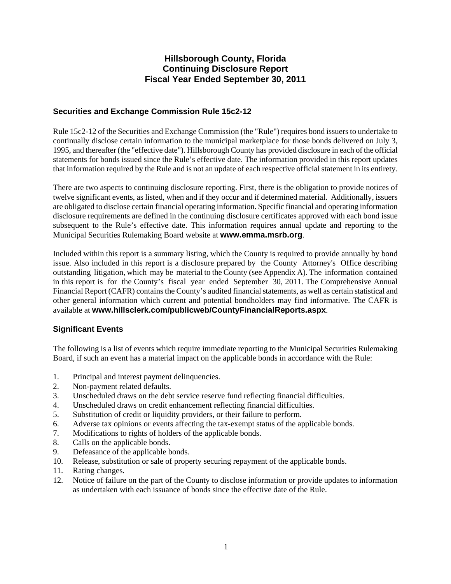# **Securities and Exchange Commission Rule 15c2-12**

Rule 15c2-12 of the Securities and Exchange Commission (the "Rule") requires bond issuers to undertake to continually disclose certain information to the municipal marketplace for those bonds delivered on July 3, 1995, and thereafter (the "effective date"). Hillsborough County has provided disclosure in each of the official statements for bonds issued since the Rule's effective date. The information provided in this report updates that information required by the Rule and is not an update of each respective official statement in its entirety.

There are two aspects to continuing disclosure reporting. First, there is the obligation to provide notices of twelve significant events, as listed, when and if they occur and if determined material. Additionally, issuers are obligated to disclose certain financial operating information. Specific financial and operating information disclosure requirements are defined in the continuing disclosure certificates approved with each bond issue subsequent to the Rule's effective date. This information requires annual update and reporting to the Municipal Securities Rulemaking Board website at **www.emma.msrb.org**.

Included within this report is a summary listing, which the County is required to provide annually by bond issue. Also included in this report is a disclosure prepared by the County Attorney's Office describing outstanding litigation, which may be material to the County (see Appendix A). The information contained in this report is for the County's fiscal year ended September 30, 2011. The Comprehensive Annual Financial Report (CAFR) contains the County's audited financial statements, as well as certain statistical and other general information which current and potential bondholders may find informative. The CAFR is available at **www.hillsclerk.com/publicweb/CountyFinancialReports.aspx**.

# **Significant Events**

The following is a list of events which require immediate reporting to the Municipal Securities Rulemaking Board, if such an event has a material impact on the applicable bonds in accordance with the Rule:

- 1. Principal and interest payment delinquencies.
- 2. Non-payment related defaults.
- 3. Unscheduled draws on the debt service reserve fund reflecting financial difficulties.
- 4. Unscheduled draws on credit enhancement reflecting financial difficulties.
- 5. Substitution of credit or liquidity providers, or their failure to perform.
- 6. Adverse tax opinions or events affecting the tax-exempt status of the applicable bonds.
- 7. Modifications to rights of holders of the applicable bonds.
- 8. Calls on the applicable bonds.
- 9. Defeasance of the applicable bonds.
- 10. Release, substitution or sale of property securing repayment of the applicable bonds.
- 11. Rating changes.
- 12. Notice of failure on the part of the County to disclose information or provide updates to information as undertaken with each issuance of bonds since the effective date of the Rule.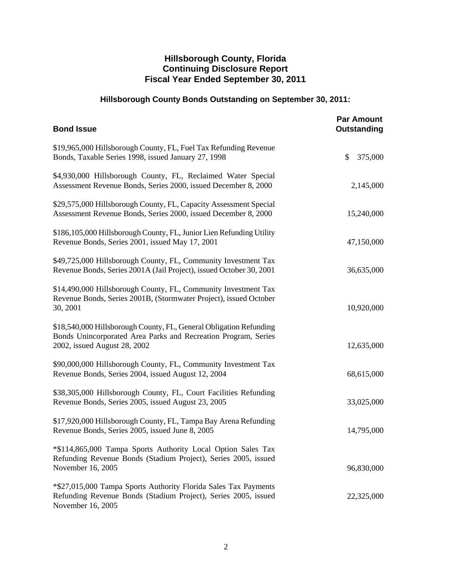# **Hillsborough County Bonds Outstanding on September 30, 2011:**

| <b>Bond Issue</b>                                                                                                                                                    | <b>Par Amount</b><br>Outstanding |
|----------------------------------------------------------------------------------------------------------------------------------------------------------------------|----------------------------------|
| \$19,965,000 Hillsborough County, FL, Fuel Tax Refunding Revenue<br>Bonds, Taxable Series 1998, issued January 27, 1998                                              | \$<br>375,000                    |
| \$4,930,000 Hillsborough County, FL, Reclaimed Water Special<br>Assessment Revenue Bonds, Series 2000, issued December 8, 2000                                       | 2,145,000                        |
| \$29,575,000 Hillsborough County, FL, Capacity Assessment Special<br>Assessment Revenue Bonds, Series 2000, issued December 8, 2000                                  | 15,240,000                       |
| \$186,105,000 Hillsborough County, FL, Junior Lien Refunding Utility<br>Revenue Bonds, Series 2001, issued May 17, 2001                                              | 47,150,000                       |
| \$49,725,000 Hillsborough County, FL, Community Investment Tax<br>Revenue Bonds, Series 2001A (Jail Project), issued October 30, 2001                                | 36,635,000                       |
| \$14,490,000 Hillsborough County, FL, Community Investment Tax<br>Revenue Bonds, Series 2001B, (Stormwater Project), issued October<br>30, 2001                      | 10,920,000                       |
| \$18,540,000 Hillsborough County, FL, General Obligation Refunding<br>Bonds Unincorporated Area Parks and Recreation Program, Series<br>2002, issued August 28, 2002 | 12,635,000                       |
| \$90,000,000 Hillsborough County, FL, Community Investment Tax<br>Revenue Bonds, Series 2004, issued August 12, 2004                                                 | 68,615,000                       |
| \$38,305,000 Hillsborough County, FL, Court Facilities Refunding<br>Revenue Bonds, Series 2005, issued August 23, 2005                                               | 33,025,000                       |
| \$17,920,000 Hillsborough County, FL, Tampa Bay Arena Refunding<br>Revenue Bonds, Series 2005, issued June 8, 2005                                                   | 14,795,000                       |
| *\$114,865,000 Tampa Sports Authority Local Option Sales Tax<br>Refunding Revenue Bonds (Stadium Project), Series 2005, issued<br>November 16, 2005                  | 96,830,000                       |
| *\$27,015,000 Tampa Sports Authority Florida Sales Tax Payments<br>Refunding Revenue Bonds (Stadium Project), Series 2005, issued<br>November 16, 2005               | 22,325,000                       |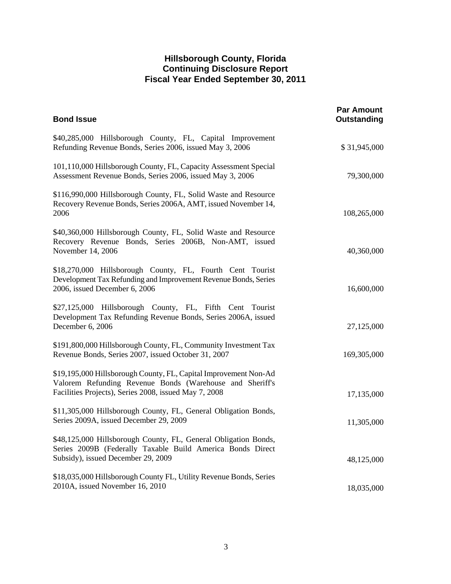| <b>Bond Issue</b>                                                                                                                                                                     | <b>Par Amount</b><br><b>Outstanding</b> |
|---------------------------------------------------------------------------------------------------------------------------------------------------------------------------------------|-----------------------------------------|
| \$40,285,000 Hillsborough County, FL, Capital Improvement<br>Refunding Revenue Bonds, Series 2006, issued May 3, 2006                                                                 | \$31,945,000                            |
| 101,110,000 Hillsborough County, FL, Capacity Assessment Special<br>Assessment Revenue Bonds, Series 2006, issued May 3, 2006                                                         | 79,300,000                              |
| \$116,990,000 Hillsborough County, FL, Solid Waste and Resource<br>Recovery Revenue Bonds, Series 2006A, AMT, issued November 14,<br>2006                                             | 108,265,000                             |
| \$40,360,000 Hillsborough County, FL, Solid Waste and Resource<br>Recovery Revenue Bonds, Series 2006B, Non-AMT, issued<br>November 14, 2006                                          | 40,360,000                              |
| \$18,270,000 Hillsborough County, FL, Fourth Cent Tourist<br>Development Tax Refunding and Improvement Revenue Bonds, Series<br>2006, issued December 6, 2006                         | 16,600,000                              |
| \$27,125,000 Hillsborough County, FL, Fifth Cent Tourist<br>Development Tax Refunding Revenue Bonds, Series 2006A, issued<br>December 6, 2006                                         | 27,125,000                              |
| \$191,800,000 Hillsborough County, FL, Community Investment Tax<br>Revenue Bonds, Series 2007, issued October 31, 2007                                                                | 169,305,000                             |
| \$19,195,000 Hillsborough County, FL, Capital Improvement Non-Ad<br>Valorem Refunding Revenue Bonds (Warehouse and Sheriff's<br>Facilities Projects), Series 2008, issued May 7, 2008 | 17,135,000                              |
| \$11,305,000 Hillsborough County, FL, General Obligation Bonds,<br>Series 2009A, issued December 29, 2009                                                                             | 11,305,000                              |
| \$48,125,000 Hillsborough County, FL, General Obligation Bonds,<br>Series 2009B (Federally Taxable Build America Bonds Direct<br>Subsidy), issued December 29, 2009                   | 48,125,000                              |
| \$18,035,000 Hillsborough County FL, Utility Revenue Bonds, Series<br>2010A, issued November 16, 2010                                                                                 | 18,035,000                              |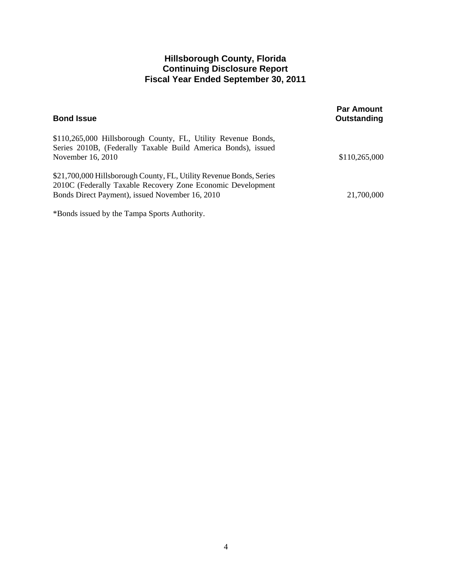| <b>Bond Issue</b>                                                                                                                  | <b>Par Amount</b><br>Outstanding |
|------------------------------------------------------------------------------------------------------------------------------------|----------------------------------|
| \$110,265,000 Hillsborough County, FL, Utility Revenue Bonds,<br>Series 2010B, (Federally Taxable Build America Bonds), issued     |                                  |
| November 16, 2010                                                                                                                  | \$110,265,000                    |
| \$21,700,000 Hillsborough County, FL, Utility Revenue Bonds, Series<br>2010C (Federally Taxable Recovery Zone Economic Development |                                  |
| Bonds Direct Payment), issued November 16, 2010                                                                                    | 21,700,000                       |
| *Bonds issued by the Tampa Sports Authority.                                                                                       |                                  |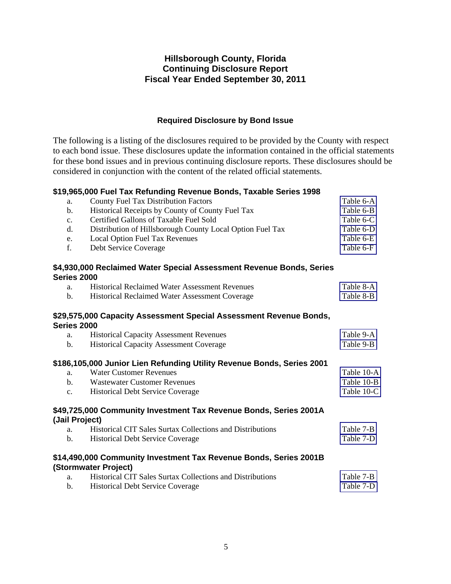# **Required Disclosure by Bond Issue**

The following is a listing of the disclosures required to be provided by the County with respect to each bond issue. These disclosures update the information contained in the official statements for these bond issues and in previous continuing disclosure reports. These disclosures should be considered in conjunction with the content of the related official statements.

### **\$19,965,000 Fuel Tax Refunding Revenue Bonds, Taxable Series 1998**

| a.             | <b>County Fuel Tax Distribution Factors</b>                                               | Table 6-A  |
|----------------|-------------------------------------------------------------------------------------------|------------|
| b.             | Historical Receipts by County of County Fuel Tax                                          | Table 6-B  |
| c.             | Certified Gallons of Taxable Fuel Sold                                                    | Table 6-C  |
| d.             | Distribution of Hillsborough County Local Option Fuel Tax                                 | Table 6-D  |
| e.             | Local Option Fuel Tax Revenues                                                            | Table 6-E  |
| f.             | Debt Service Coverage                                                                     | Table 6-F  |
| Series 2000    | \$4,930,000 Reclaimed Water Special Assessment Revenue Bonds, Series                      |            |
| a.             | <b>Historical Reclaimed Water Assessment Revenues</b>                                     | Table 8-A  |
| $\mathbf{b}$ . | Historical Reclaimed Water Assessment Coverage                                            | Table 8-B  |
| Series 2000    | \$29,575,000 Capacity Assessment Special Assessment Revenue Bonds,                        |            |
| a.             | <b>Historical Capacity Assessment Revenues</b>                                            | Table 9-A  |
| $\mathbf{b}$ . | <b>Historical Capacity Assessment Coverage</b>                                            | Table 9-B  |
|                | \$186,105,000 Junior Lien Refunding Utility Revenue Bonds, Series 2001                    |            |
| a.             | <b>Water Customer Revenues</b>                                                            | Table 10-A |
| $\mathbf{b}$ . | <b>Wastewater Customer Revenues</b>                                                       | Table 10-B |
| c.             | <b>Historical Debt Service Coverage</b>                                                   | Table 10-C |
| (Jail Project) | \$49,725,000 Community Investment Tax Revenue Bonds, Series 2001A                         |            |
| a.             | <b>Historical CIT Sales Surtax Collections and Distributions</b>                          | Table 7-B  |
| $\mathbf{b}$ . | Historical Debt Service Coverage                                                          | Table 7-D  |
|                | \$14,490,000 Community Investment Tax Revenue Bonds, Series 2001B<br>(Stormwater Project) |            |
| a.             | Historical CIT Sales Surtax Collections and Distributions                                 | Table 7-B  |
| $\mathbf{b}$ . | <b>Historical Debt Service Coverage</b>                                                   | Table 7-D  |
|                |                                                                                           |            |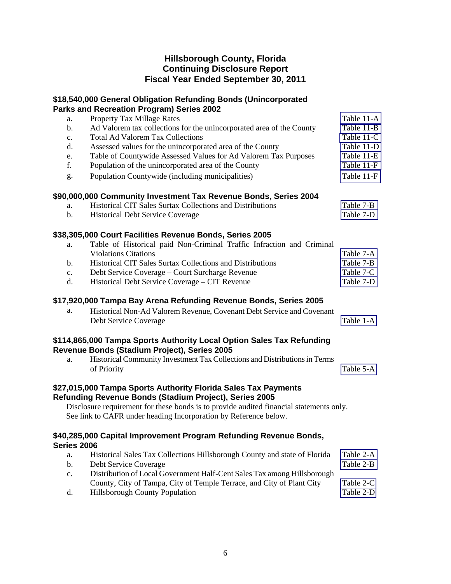# **\$18,540,000 General Obligation Refunding Bonds (Unincorporated Parks and Recreation Program) Series 2002**

| a.             | Property Tax Millage Rates                                                              | Table 11-A |
|----------------|-----------------------------------------------------------------------------------------|------------|
| $\mathbf b$ .  | Ad Valorem tax collections for the unincorporated area of the County                    | Table 11-B |
| c.             | <b>Total Ad Valorem Tax Collections</b>                                                 | Table 11-C |
| d.             | Assessed values for the unincorporated area of the County                               | Table 11-D |
| e.             | Table of Countywide Assessed Values for Ad Valorem Tax Purposes                         | Table 11-E |
| f.             | Population of the unincorporated area of the County                                     | Table 11-F |
| g.             | Population Countywide (including municipalities)                                        | Table 11-F |
|                | \$90,000,000 Community Investment Tax Revenue Bonds, Series 2004                        |            |
| a.             | Historical CIT Sales Surtax Collections and Distributions                               | Table 7-B  |
| $\mathbf{b}$ . | <b>Historical Debt Service Coverage</b>                                                 | Table 7-D  |
|                | \$38,305,000 Court Facilities Revenue Bonds, Series 2005                                |            |
| a.             | Table of Historical paid Non-Criminal Traffic Infraction and Criminal                   |            |
|                | <b>Violations Citations</b>                                                             | Table 7-A  |
| $\mathbf b$ .  | Historical CIT Sales Surtax Collections and Distributions                               | Table 7-B  |
| C <sub>1</sub> | Debt Service Coverage - Court Surcharge Revenue                                         | Table 7-C  |
| d.             | Historical Debt Service Coverage - CIT Revenue                                          | Table 7-D  |
|                | \$17,920,000 Tampa Bay Arena Refunding Revenue Bonds, Series 2005                       |            |
| a.             | Historical Non-Ad Valorem Revenue, Covenant Debt Service and Covenant                   |            |
|                | Debt Service Coverage                                                                   | Table 1-A  |
|                | \$114,865,000 Tampa Sports Authority Local Option Sales Tax Refunding                   |            |
|                | Revenue Bonds (Stadium Project), Series 2005                                            |            |
| a.             | Historical Community Investment Tax Collections and Distributions in Terms              |            |
|                | of Priority                                                                             | Table 5-A  |
|                | \$27,015,000 Tampa Sports Authority Florida Sales Tax Payments                          |            |
|                | Refunding Revenue Bonds (Stadium Project), Series 2005                                  |            |
|                | Disclosure requirement for these bonds is to provide audited financial statements only. |            |
|                | See link to CAFR under heading Incorporation by Reference below.                        |            |
|                | \$40,285,000 Capital Improvement Program Refunding Revenue Bonds,                       |            |
| Series 2006    |                                                                                         |            |
| a.             | Historical Sales Tax Collections Hillsborough County and state of Florida               | Table 2-A  |
| $\mathbf b$ .  | Debt Service Coverage                                                                   | Table 2-B  |
| $C_{\bullet}$  | Distribution of Local Government Half-Cent Sales Tax among Hillsborough                 |            |

County, City of Tampa, City of Temple Terrace, and City of Plant City [Table 2-C](#page-13-0) 

d. Hillsborough County Population [Table 2-D](#page-14-0)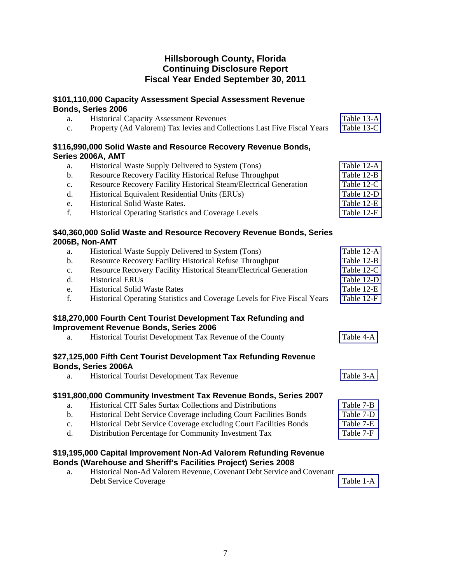# **\$101,110,000 Capacity Assessment Special Assessment Revenue Bonds, Series 2006**

| a.             | <b>Historical Capacity Assessment Revenues</b>                                                                  | Table 13-A |
|----------------|-----------------------------------------------------------------------------------------------------------------|------------|
| $\mathbf{c}$ . | Property (Ad Valorem) Tax levies and Collections Last Five Fiscal Years                                         | Table 13-C |
|                | \$116,990,000 Solid Waste and Resource Recovery Revenue Bonds,                                                  |            |
|                | Series 2006A, AMT                                                                                               |            |
| a.             | Historical Waste Supply Delivered to System (Tons)                                                              | Table 12-A |
| $\mathbf b$ .  | Resource Recovery Facility Historical Refuse Throughput                                                         | Table 12-B |
| c.             | Resource Recovery Facility Historical Steam/Electrical Generation                                               | Table 12-C |
| d.             | Historical Equivalent Residential Units (ERUs)                                                                  | Table 12-D |
| e.             | Historical Solid Waste Rates.                                                                                   | Table 12-E |
| f.             | Historical Operating Statistics and Coverage Levels                                                             | Table 12-F |
|                | \$40,360,000 Solid Waste and Resource Recovery Revenue Bonds, Series<br>2006B, Non-AMT                          |            |
| a.             | Historical Waste Supply Delivered to System (Tons)                                                              | Table 12-A |
| $\mathbf b$ .  | Resource Recovery Facility Historical Refuse Throughput                                                         | Table 12-B |
| c.             | Resource Recovery Facility Historical Steam/Electrical Generation                                               | Table 12-C |
| d.             | <b>Historical ERUs</b>                                                                                          | Table 12-D |
| e.             | <b>Historical Solid Waste Rates</b>                                                                             | Table 12-E |
| f.             | Historical Operating Statistics and Coverage Levels for Five Fiscal Years                                       | Table 12-F |
|                | \$18,270,000 Fourth Cent Tourist Development Tax Refunding and<br><b>Improvement Revenue Bonds, Series 2006</b> |            |
| a.             | Historical Tourist Development Tax Revenue of the County                                                        | Table 4-A  |
|                | \$27,125,000 Fifth Cent Tourist Development Tax Refunding Revenue<br><b>Bonds, Series 2006A</b>                 |            |
| a.             | Historical Tourist Development Tax Revenue                                                                      | Table 3-A  |
|                | \$191,800,000 Community Investment Tax Revenue Bonds, Series 2007                                               |            |
| a.             | Historical CIT Sales Surtax Collections and Distributions                                                       | Table 7-B  |
| $\mathbf b$ .  | Historical Debt Service Coverage including Court Facilities Bonds                                               | Table 7-D  |
|                |                                                                                                                 |            |

- c. Historical Debt Service Coverage excluding Court Facilities Bonds [Table 7-E](#page-29-0)
- d. Distribution Percentage for Community Investment Tax Table 7-F

# **\$19,195,000 Capital Improvement Non-Ad Valorem Refunding Revenue Bonds (Warehouse and Sheriff's Facilities Project) Series 2008**

a. Historical Non-Ad Valorem Revenue, Covenant Debt Service and Covenant Debt Service Coverage Table 1-A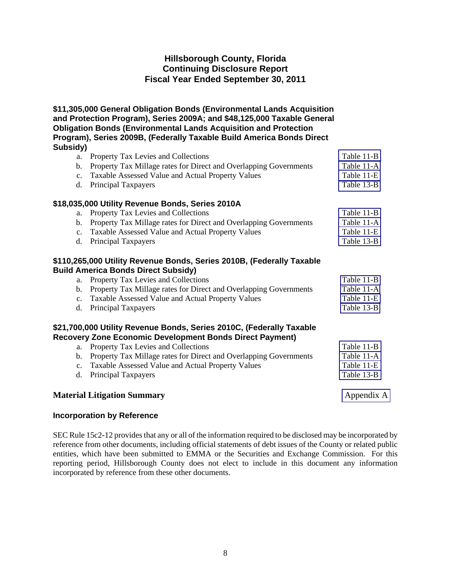**\$11,305,000 General Obligation Bonds (Environmental Lands Acquisition and Protection Program), Series 2009A; and \$48,125,000 Taxable General Obligation Bonds (Environmental Lands Acquisition and Protection Program), Series 2009B, (Federally Taxable Build America Bonds Direct Subsidy)**  a. Property Tax Levies and Collections [Table 11-B](#page-39-0) 

| a.                            | Property Tax Levies and Collections                                                                                                                                                                                                                                                                                      | таріе 11-в                                           |
|-------------------------------|--------------------------------------------------------------------------------------------------------------------------------------------------------------------------------------------------------------------------------------------------------------------------------------------------------------------------|------------------------------------------------------|
| b.                            | Property Tax Millage rates for Direct and Overlapping Governments                                                                                                                                                                                                                                                        | Table 11-A                                           |
| $c_{\cdot}$                   | Taxable Assessed Value and Actual Property Values                                                                                                                                                                                                                                                                        | Table 11-E                                           |
| d.                            | Principal Taxpayers                                                                                                                                                                                                                                                                                                      | Table 13-B                                           |
|                               | \$18,035,000 Utility Revenue Bonds, Series 2010A                                                                                                                                                                                                                                                                         |                                                      |
| a.                            | Property Tax Levies and Collections                                                                                                                                                                                                                                                                                      | Table 11-B                                           |
| b.                            | Property Tax Millage rates for Direct and Overlapping Governments                                                                                                                                                                                                                                                        | Table 11-A                                           |
| $c_{\cdot}$                   | Taxable Assessed Value and Actual Property Values                                                                                                                                                                                                                                                                        | Table 11-E                                           |
| d.                            | Principal Taxpayers                                                                                                                                                                                                                                                                                                      | Table 13-B                                           |
|                               | \$110,265,000 Utility Revenue Bonds, Series 2010B, (Federally Taxable<br><b>Build America Bonds Direct Subsidy)</b>                                                                                                                                                                                                      |                                                      |
| a.                            | Property Tax Levies and Collections                                                                                                                                                                                                                                                                                      | Table 11-B                                           |
| b.                            | Property Tax Millage rates for Direct and Overlapping Governments                                                                                                                                                                                                                                                        | Table 11-A                                           |
| $c_{\cdot}$                   | Taxable Assessed Value and Actual Property Values                                                                                                                                                                                                                                                                        | Table 11-E                                           |
| d.                            | Principal Taxpayers                                                                                                                                                                                                                                                                                                      | Table 13-B                                           |
| a.<br>b.<br>$c_{\cdot}$<br>d. | \$21,700,000 Utility Revenue Bonds, Series 2010C, (Federally Taxable<br>Recovery Zone Economic Development Bonds Direct Payment)<br>Property Tax Levies and Collections<br>Property Tax Millage rates for Direct and Overlapping Governments<br>Taxable Assessed Value and Actual Property Values<br>Principal Taxpayers | Table 11-B<br>Table 11-A<br>Table 11-E<br>Table 13-B |
|                               |                                                                                                                                                                                                                                                                                                                          |                                                      |

# **Material Litigation Summary** Appendix A

# **Incorporation by Reference**

SEC Rule 15c2-12 provides that any or all of the information required to be disclosed may be incorporated by reference from other documents, including official statements of debt issues of the County or related public entities, which have been submitted to EMMA or the Securities and Exchange Commission. For this reporting period, Hillsborough County does not elect to include in this document any information incorporated by reference from these other documents.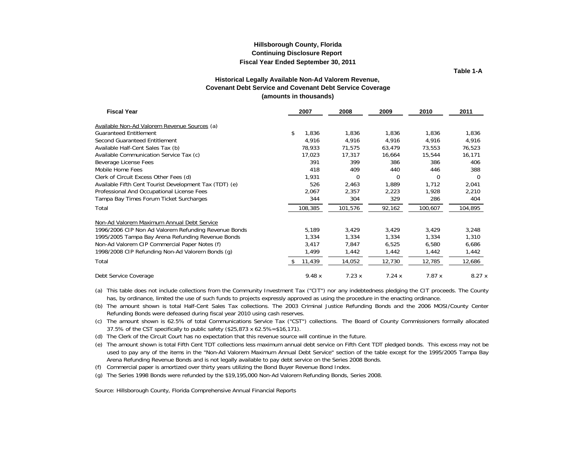**Table 1-A**

#### **Historical Legally Available Non-Ad Valorem Revenue, Covenant Debt Service and Covenant Debt Service Coverage (amounts in thousands)**

<span id="page-10-0"></span>

| <b>Fiscal Year</b>                                     | 2007        | 2008    | 2009     | 2010     | 2011    |  |
|--------------------------------------------------------|-------------|---------|----------|----------|---------|--|
| Available Non-Ad Valorem Revenue Sources (a)           |             |         |          |          |         |  |
| <b>Guaranteed Entitlement</b>                          | \$<br>1,836 | 1,836   | 1,836    | 1,836    | 1,836   |  |
| Second Guaranteed Entitlement                          | 4,916       | 4,916   | 4,916    | 4,916    | 4,916   |  |
| Available Half-Cent Sales Tax (b)                      | 78,933      | 71,575  | 63,479   | 73,553   | 76,523  |  |
| Available Communication Service Tax (c)                | 17,023      | 17,317  | 16,664   | 15,544   | 16,171  |  |
| Beverage License Fees                                  | 391         | 399     | 386      | 386      | 406     |  |
| Mobile Home Fees                                       | 418         | 409     | 440      | 446      | 388     |  |
| Clerk of Circuit Excess Other Fees (d)                 | 1,931       | 0       | $\Omega$ | $\Omega$ | 0       |  |
| Available Fifth Cent Tourist Development Tax (TDT) (e) | 526         | 2,463   | 1,889    | 1,712    | 2,041   |  |
| Professional And Occupational License Fees             | 2,067       | 2,357   | 2,223    | 1,928    | 2,210   |  |
| Tampa Bay Times Forum Ticket Surcharges                | 344         | 304     | 329      | 286      | 404     |  |
| Total                                                  | 108,385     | 101,576 | 92,162   | 100,607  | 104,895 |  |
| Non-Ad Valorem Maximum Annual Debt Service             |             |         |          |          |         |  |
| 1996/2006 CIP Non Ad Valorem Refunding Revenue Bonds   | 5,189       | 3,429   | 3,429    | 3,429    | 3,248   |  |
| 1995/2005 Tampa Bay Arena Refunding Revenue Bonds      | 1,334       | 1,334   | 1,334    | 1,334    | 1,310   |  |
| Non-Ad Valorem CIP Commercial Paper Notes (f)          | 3,417       | 7,847   | 6,525    | 6,580    | 6,686   |  |
| 1998/2008 CIP Refunding Non-Ad Valorem Bonds (q)       | 1,499       | 1,442   | 1,442    | 1,442    | 1,442   |  |
| Total                                                  | 11,439      | 14,052  | 12,730   | 12,785   | 12,686  |  |
| Debt Service Coverage                                  | 9.48x       | 7.23x   | 7.24x    | 7.87x    | 8.27x   |  |

(a) This table does not include collections from the Community Investment Tax ("CIT") nor any indebtedness pledging the CIT proceeds. The County has, by ordinance, limited the use of such funds to projects expressly approved as using the procedure in the enacting ordinance.

(b) The amount shown is total Half-Cent Sales Tax collections. The 2003 Criminal Justice Refunding Bonds and the 2006 MOSI/County Center Refunding Bonds were defeased during fiscal year 2010 using cash reserves.

(c) The amount shown is 62.5% of total Communications Service Tax ("CST") collections. The Board of County Commissioners formally allocated 37.5% of the CST specifically to public safety (\$25,873 x 62.5%=\$16,171).

(d) The Clerk of the Circuit Court has no expectation that this revenue source will continue in the future.

(e) The amount shown is total Fifth Cent TDT collections less maximum annual debt service on Fifth Cent TDT pledged bonds. This excess may not be used to pay any of the items in the "Non-Ad Valorem Maximum Annual Debt Service" section of the table except for the 1995/2005 Tampa Bay Arena Refunding Revenue Bonds and is not legally available to pay debt service on the Series 2008 Bonds.

(f) Commercial paper is amortized over thirty years utilizing the Bond Buyer Revenue Bond Index.

(g) The Series 1998 Bonds were refunded by the \$19,195,000 Non-Ad Valorem Refunding Bonds, Series 2008.

Source: Hillsborough County, Florida Comprehensive Annual Financial Reports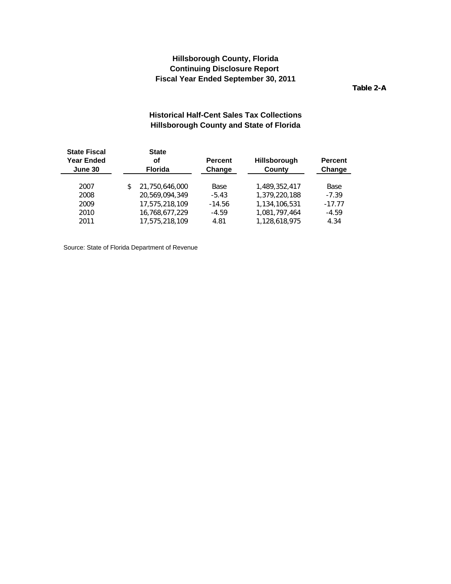**Table 2-A**

# **Historical Half-Cent Sales Tax Collections Hillsborough County and State of Florida**

<span id="page-11-0"></span>

| <b>State Fiscal</b><br><b>Year Ended</b><br>June 30 | <b>State</b><br>οf<br><b>Florida</b> |                | <b>Percent</b><br>Change | Hillsborough<br>County | <b>Percent</b><br>Change |  |
|-----------------------------------------------------|--------------------------------------|----------------|--------------------------|------------------------|--------------------------|--|
| 2007                                                | \$                                   | 21.750.646.000 | Base                     | 1,489,352,417          | Base                     |  |
| 2008                                                |                                      | 20.569.094.349 | $-5.43$                  | 1,379,220,188          | $-7.39$                  |  |
| 2009                                                |                                      | 17.575.218.109 | $-14.56$                 | 1.134.106.531          | $-17.77$                 |  |
| 2010                                                |                                      | 16.768.677.229 | $-4.59$                  | 1.081.797.464          | $-4.59$                  |  |
| 2011                                                |                                      | 17.575.218.109 | 4.81                     | 1.128.618.975          | 4.34                     |  |
|                                                     |                                      |                |                          |                        |                          |  |

Source: State of Florida Department of Revenue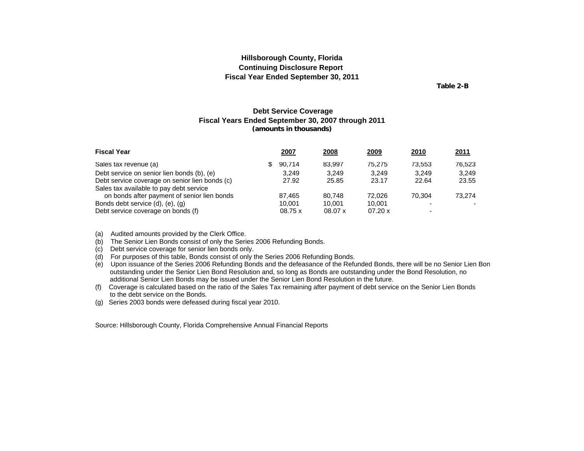**Table 2-B**

### **Debt Service Coverage Fiscal Years Ended September 30, 2007 through 2011 (amounts in thousands)**

<span id="page-12-0"></span>

| <b>Fiscal Year</b>                             |    | 2007   | 2008    | <u>2009</u> | 2010                     | <u>2011</u> |
|------------------------------------------------|----|--------|---------|-------------|--------------------------|-------------|
| Sales tax revenue (a)                          | S. | 90.714 | 83.997  | 75.275      | 73.553                   | 76.523      |
| Debt service on senior lien bonds (b), (e)     |    | 3.249  | 3.249   | 3.249       | 3.249                    | 3.249       |
| Debt service coverage on senior lien bonds (c) |    | 27.92  | 25.85   | 23.17       | 22.64                    | 23.55       |
| Sales tax available to pay debt service        |    |        |         |             |                          |             |
| on bonds after payment of senior lien bonds    |    | 87.465 | 80.748  | 72.026      | 70.304                   | 73.274      |
| Bonds debt service (d), (e), (g)               |    | 10.001 | 10.001  | 10.001      |                          |             |
| Debt service coverage on bonds (f)             |    | 08.75x | 08.07 x | 07.20 x     | $\overline{\phantom{0}}$ |             |

(a) Audited amounts provided by the Clerk Office.

(b) The Senior Lien Bonds consist of only the Series 2006 Refunding Bonds.

(c) Debt service coverage for senior lien bonds only.

(d) For purposes of this table, Bonds consist of only the Series 2006 Refunding Bonds.

(e) Upon issuance of the Series 2006 Refunding Bonds and the defeasance of the Refunded Bonds, there will be no Senior Lien Bon outstanding under the Senior Lien Bond Resolution and, so long as Bonds are outstanding under the Bond Resolution, no additional Senior Lien Bonds may be issued under the Senior Lien Bond Resolution in the future.

(f) Coverage is calculated based on the ratio of the Sales Tax remaining after payment of debt service on the Senior Lien Bonds to the debt service on the Bonds.

(g) Series 2003 bonds were defeased during fiscal year 2010.

Source: Hillsborough County, Florida Comprehensive Annual Financial Reports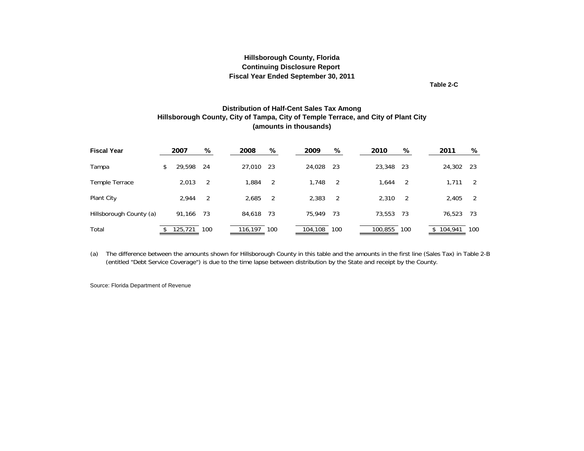**Table 2-C**

#### **Distribution of Half-Cent Sales Tax Among Hillsborough County, City of Tampa, City of Temple Terrace, and City of Plant City (amounts in thousands)**

<span id="page-13-0"></span>

| <b>Fiscal Year</b>      | 2007         | %              | 2008    | %   | 2009    | ℅   | 2010      | %    | 2011    | ℅    |
|-------------------------|--------------|----------------|---------|-----|---------|-----|-----------|------|---------|------|
| Tampa                   | \$<br>29,598 | -24            | 27,010  | -23 | 24,028  | -23 | 23,348 23 |      | 24,302  | - 23 |
| Temple Terrace          | 2,013        | $\overline{2}$ | 1.884   | -2  | 1,748   | -2  | 1.644     | -2   | 1.711   | 2    |
| Plant City              | 2,944        | $\overline{2}$ | 2,685   | -2  | 2,383   | 2   | 2,310     | -2   | 2,405   | 2    |
| Hillsborough County (a) | 91.166       | 73             | 84,618  | -73 | 75.949  | -73 | 73,553    | - 73 | 76,523  | - 73 |
| Total                   | 125,721      | 100            | 116,197 | 100 | 104,108 | 100 | 100,855   | 100  | 104,941 | 100  |

(a) The difference between the amounts shown for Hillsborough County in this table and the amounts in the first line (Sales Tax) in Table 2-B (entitled "Debt Service Coverage") is due to the time lapse between distribution by the State and receipt by the County.

Source: Florida Department of Revenue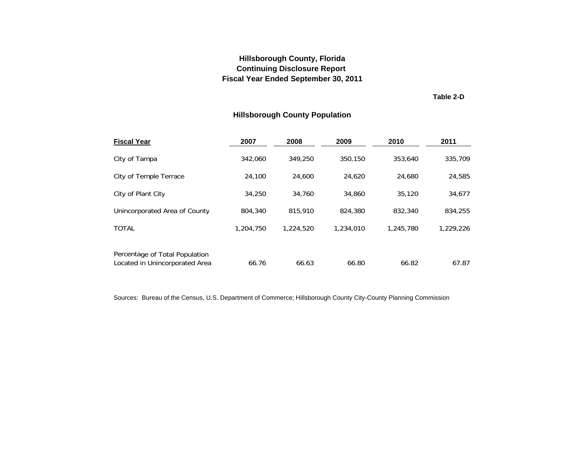**Table 2-D**

# **Hillsborough County Population**

<span id="page-14-0"></span>

| <b>Fiscal Year</b>                                               | 2007      | 2008      | 2009      | 2010      | 2011      |
|------------------------------------------------------------------|-----------|-----------|-----------|-----------|-----------|
| City of Tampa                                                    | 342.060   | 349.250   | 350,150   | 353.640   | 335,709   |
| City of Temple Terrace                                           | 24,100    | 24,600    | 24.620    | 24.680    | 24,585    |
| City of Plant City                                               | 34,250    | 34,760    | 34,860    | 35,120    | 34,677    |
| Unincorporated Area of County                                    | 804,340   | 815,910   | 824,380   | 832,340   | 834,255   |
| <b>TOTAL</b>                                                     | 1,204,750 | 1,224,520 | 1,234,010 | 1,245,780 | 1,229,226 |
| Percentage of Total Population<br>Located in Unincorporated Area | 66.76     | 66.63     | 66.80     | 66.82     | 67.87     |

Sources: Bureau of the Census, U.S. Department of Commerce; Hillsborough County City-County Planning Commission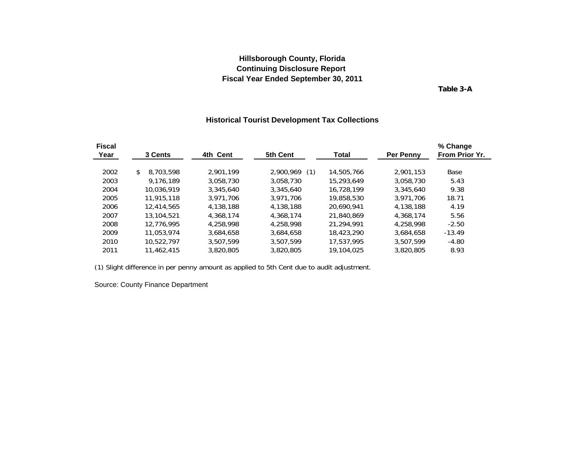**Table 3-A**

### **Historical Tourist Development Tax Collections**

<span id="page-15-0"></span>

| <b>Fiscal</b> |                 |           |                  |            |           | % Change       |
|---------------|-----------------|-----------|------------------|------------|-----------|----------------|
| Year          | 3 Cents         | 4th Cent  | 5th Cent         | Total      | Per Penny | From Prior Yr. |
| 2002          | 8.703.598<br>\$ | 2.901.199 | 2,900,969<br>(1) | 14,505,766 | 2.901.153 | Base           |
| 2003          | 9.176.189       | 3,058,730 | 3,058,730        | 15,293,649 | 3.058.730 | 5.43           |
| 2004          | 10.036.919      | 3.345.640 | 3,345,640        | 16.728.199 | 3,345,640 | 9.38           |
| 2005          | 11.915.118      | 3.971.706 | 3.971.706        | 19,858,530 | 3.971.706 | 18.71          |
| 2006          | 12.414.565      | 4,138,188 | 4,138,188        | 20,690,941 | 4,138,188 | 4.19           |
| 2007          | 13,104,521      | 4.368.174 | 4,368,174        | 21.840.869 | 4,368,174 | 5.56           |
| 2008          | 12.776.995      | 4.258.998 | 4.258.998        | 21.294.991 | 4.258.998 | $-2.50$        |
| 2009          | 11.053.974      | 3.684.658 | 3.684.658        | 18,423,290 | 3.684.658 | $-13.49$       |
| 2010          | 10.522.797      | 3.507.599 | 3,507,599        | 17.537.995 | 3,507,599 | $-4.80$        |
| 2011          | 11.462.415      | 3.820.805 | 3,820,805        | 19,104,025 | 3,820,805 | 8.93           |

(1) Slight difference in per penny amount as applied to 5th Cent due to audit adjustment.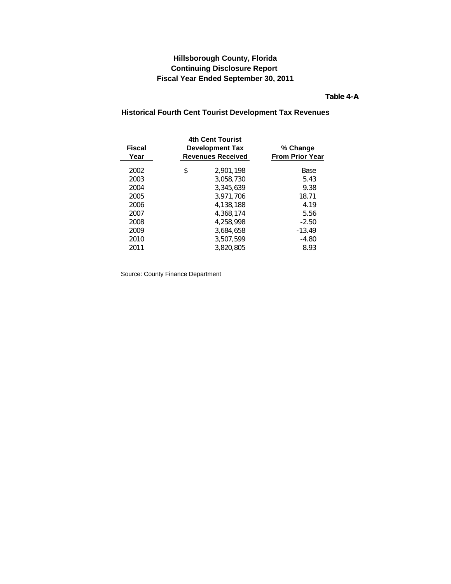**Table 4-A**

# <span id="page-16-0"></span>**Historical Fourth Cent Tourist Development Tax Revenues**

| <b>Fiscal</b><br>Year | <b>4th Cent Tourist</b><br><b>Development Tax</b><br><b>Revenues Received</b> | % Change<br><b>From Prior Year</b> |
|-----------------------|-------------------------------------------------------------------------------|------------------------------------|
| 2002                  | \$<br>2,901,198                                                               | Base                               |
| 2003                  | 3.058.730                                                                     | 5.43                               |
| 2004                  | 3.345.639                                                                     | 9.38                               |
| 2005                  | 3.971.706                                                                     | 18.71                              |
| 2006                  | 4.138.188                                                                     | 4.19                               |
| 2007                  | 4.368.174                                                                     | 5.56                               |
| 2008                  | 4.258.998                                                                     | $-2.50$                            |
| 2009                  | 3,684,658                                                                     | $-13.49$                           |
| 2010                  | 3.507.599                                                                     | $-4.80$                            |
| 2011                  | 3.820.805                                                                     | 8.93                               |
|                       |                                                                               |                                    |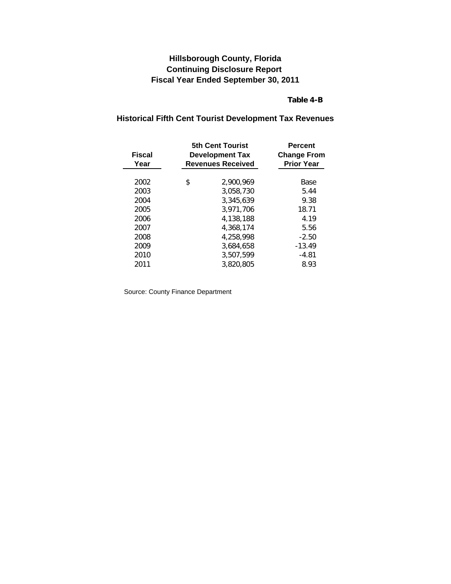### **Table 4-B**

# **Historical Fifth Cent Tourist Development Tax Revenues**

| Fiscal<br>Year | <b>5th Cent Tourist</b><br><b>Development Tax</b><br><b>Revenues Received</b> | <b>Percent</b><br><b>Change From</b><br><b>Prior Year</b> |  |
|----------------|-------------------------------------------------------------------------------|-----------------------------------------------------------|--|
| 2002           | \$<br>2.900.969                                                               | Base                                                      |  |
| 2003           | 3.058.730                                                                     | 5.44                                                      |  |
| 2004           | 3.345.639                                                                     | 9.38                                                      |  |
| 2005           | 3.971.706                                                                     | 18.71                                                     |  |
| 2006           | 4.138.188                                                                     | 4.19                                                      |  |
| 2007           | 4.368.174                                                                     | 5.56                                                      |  |
| 2008           | 4.258.998                                                                     | $-2.50$                                                   |  |
| 2009           | 3.684.658                                                                     | $-13.49$                                                  |  |
| 2010           | 3.507.599                                                                     | $-4.81$                                                   |  |
| 2011           | 3,820,805                                                                     | 8.93                                                      |  |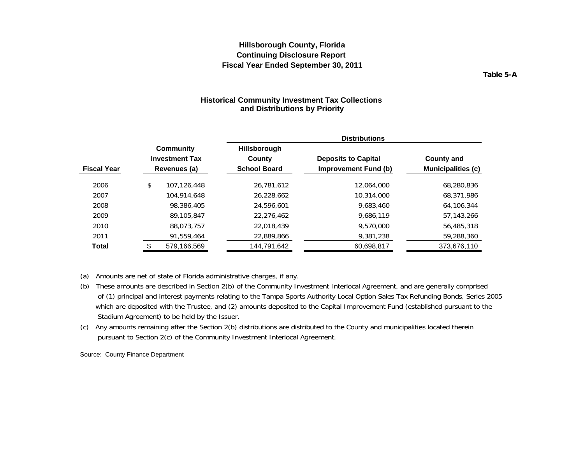**Table 5-A**

### **Historical Community Investment Tax Collections and Distributions by Priority**

<span id="page-18-0"></span>

|                    |                                                    |                                                      | <b>Distributions</b>                                      |                                                |  |  |  |
|--------------------|----------------------------------------------------|------------------------------------------------------|-----------------------------------------------------------|------------------------------------------------|--|--|--|
| <b>Fiscal Year</b> | Community<br><b>Investment Tax</b><br>Revenues (a) | <b>Hillsborough</b><br>County<br><b>School Board</b> | <b>Deposits to Capital</b><br><b>Improvement Fund (b)</b> | <b>County and</b><br><b>Municipalities (c)</b> |  |  |  |
| 2006               | \$<br>107.126.448                                  | 26.781.612                                           | 12.064.000                                                | 68,280,836                                     |  |  |  |
| 2007               | 104.914.648                                        | 26,228,662                                           | 10.314.000                                                | 68,371,986                                     |  |  |  |
| 2008               | 98,386,405                                         | 24,596,601                                           | 9.683.460                                                 | 64,106,344                                     |  |  |  |
| 2009               | 89,105,847                                         | 22.276.462                                           | 9.686.119                                                 | 57.143.266                                     |  |  |  |
| 2010               | 88.073.757                                         | 22.018.439                                           | 9,570,000                                                 | 56,485,318                                     |  |  |  |
| 2011               | 91,559,464                                         | 22,889,866                                           | 9,381,238                                                 | 59,288,360                                     |  |  |  |
| Total              | 579,166,569                                        | 144,791,642                                          | 60,698,817                                                | 373,676,110                                    |  |  |  |

(a) Amounts are net of state of Florida administrative charges, if any.

- (b) These amounts are described in Section 2(b) of the Community Investment Interlocal Agreement, and are generally comprised of (1) principal and interest payments relating to the Tampa Sports Authority Local Option Sales Tax Refunding Bonds, Series 2005 which are deposited with the Trustee, and (2) amounts deposited to the Capital Improvement Fund (established pursuant to the Stadium Agreement) to be held by the Issuer.
- (c) Any amounts remaining after the Section 2(b) distributions are distributed to the County and municipalities located therein pursuant to Section 2(c) of the Community Investment Interlocal Agreement.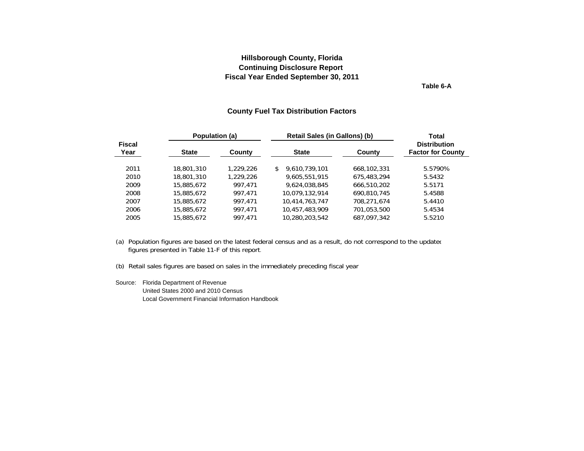**Table 6-A**

#### **County Fuel Tax Distribution Factors**

<span id="page-19-0"></span>

|                       | Population (a) |           | Retail Sales (in Gallons) (b) | <b>Total</b> |                                                 |  |
|-----------------------|----------------|-----------|-------------------------------|--------------|-------------------------------------------------|--|
| <b>Fiscal</b><br>Year | <b>State</b>   | County    | <b>State</b>                  | County       | <b>Distribution</b><br><b>Factor for County</b> |  |
| 2011                  | 18,801,310     | 1,229,226 | 9.610.739.101<br>\$           | 668,102,331  | 5.5790%                                         |  |
| 2010                  | 18,801,310     | 1,229,226 | 9,605,551,915                 | 675,483,294  | 5.5432                                          |  |
| 2009                  | 15,885,672     | 997.471   | 9.624.038.845                 | 666,510,202  | 5.5171                                          |  |
| 2008                  | 15,885,672     | 997.471   | 10.079.132.914                | 690.810.745  | 5.4588                                          |  |
| 2007                  | 15,885,672     | 997.471   | 10,414,763,747                | 708.271.674  | 5.4410                                          |  |
| 2006                  | 15,885,672     | 997.471   | 10,457,483,909                | 701,053,500  | 5.4534                                          |  |
| 2005                  | 15,885,672     | 997.471   | 10,280,203,542                | 687,097,342  | 5.5210                                          |  |
|                       |                |           |                               |              |                                                 |  |

(a) Population figures are based on the latest federal census and as a result, do not correspond to the updated figures presented in Table 11-F of this report.

(b) Retail sales figures are based on sales in the immediately preceding fiscal year

Source: Florida Department of Revenue United States 2000 and 2010 CensusLocal Government Financial Information Handbook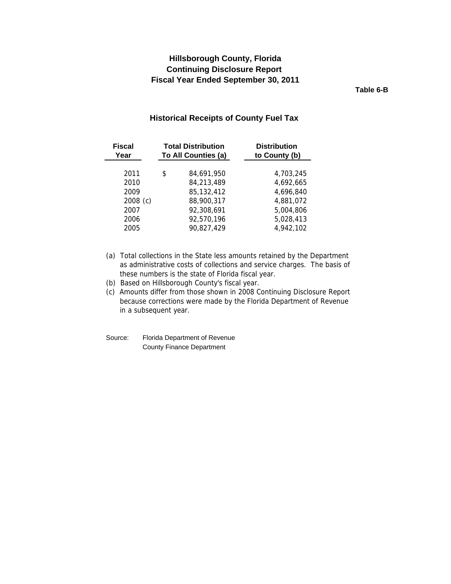# <span id="page-20-0"></span>**Continuing Disclosure Report Hillsborough County, Florida Fiscal Year Ended September 30, 2011**

**Table 6-B**

### **Historical Receipts of County Fuel Tax**

| <b>Fiscal</b><br>Year | <b>Total Distribution</b><br>To All Counties (a) |            | <b>Distribution</b><br>to County (b) |
|-----------------------|--------------------------------------------------|------------|--------------------------------------|
|                       |                                                  |            |                                      |
| 2011                  | \$                                               | 84,691,950 | 4,703,245                            |
| 2010                  |                                                  | 84,213,489 | 4,692,665                            |
| 2009                  |                                                  | 85,132,412 | 4,696,840                            |
| $2008$ (c)            |                                                  | 88,900,317 | 4,881,072                            |
| 2007                  |                                                  | 92,308,691 | 5,004,806                            |
| 2006                  |                                                  | 92,570,196 | 5,028,413                            |
| 2005                  |                                                  | 90,827,429 | 4,942,102                            |

- (a) Total collections in the State less amounts retained by the Department as administrative costs of collections and service charges. The basis of these numbers is the state of Florida fiscal year.
- (b) Based on Hillsborough County's fiscal year.

(c) Amounts differ from those shown in 2008 Continuing Disclosure Report because corrections were made by the Florida Department of Revenue in a subsequent year.

Source: Florida Department of Revenue County Finance Department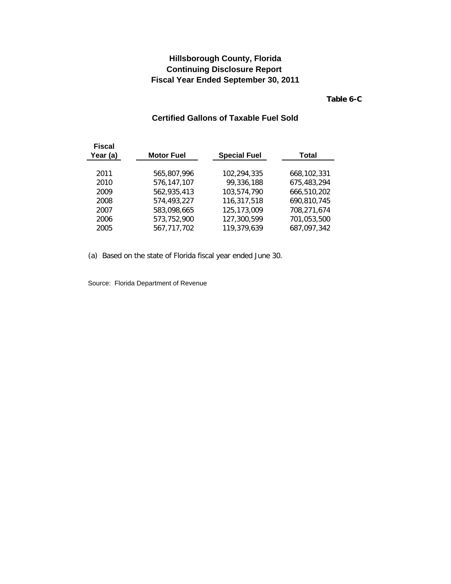**Table 6-C**

# **Certified Gallons of Taxable Fuel Sold**

<span id="page-21-0"></span>

| <b>Fiscal</b><br>Year (a) | <b>Motor Fuel</b> | <b>Special Fuel</b> | Total       |
|---------------------------|-------------------|---------------------|-------------|
| 2011                      | 565.807.996       | 102.294.335         | 668,102,331 |
| 2010                      | 576,147,107       | 99,336,188          | 675,483,294 |
| 2009                      | 562,935,413       | 103,574,790         | 666,510,202 |
| 2008                      | 574,493,227       | 116,317,518         | 690,810,745 |
| 2007                      | 583,098,665       | 125,173,009         | 708,271,674 |
| 2006                      | 573,752,900       | 127,300,599         | 701,053,500 |
| 2005                      | 567,717,702       | 119,379,639         | 687,097,342 |

(a) Based on the state of Florida fiscal year ended June 30.

Source: Florida Department of Revenue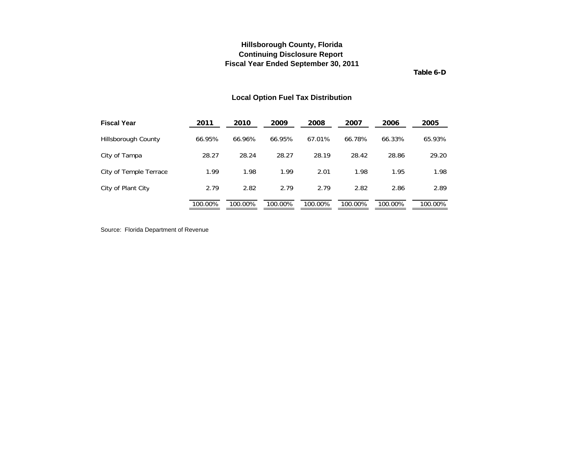**Table 6-D**

### **Local Option Fuel Tax Distribution**

<span id="page-22-0"></span>

| <b>Fiscal Year</b>     | 2011    | 2010    | 2009    | 2008    | 2007    | 2006    | 2005    |
|------------------------|---------|---------|---------|---------|---------|---------|---------|
| Hillsborough County    | 66.95%  | 66.96%  | 66.95%  | 67.01%  | 66.78%  | 66.33%  | 65.93%  |
| City of Tampa          | 28.27   | 28.24   | 28.27   | 28.19   | 28.42   | 28.86   | 29.20   |
| City of Temple Terrace | 1.99    | 1.98    | 1.99    | 2.01    | 1.98    | 1.95    | 1.98    |
| City of Plant City     | 2.79    | 2.82    | 2.79    | 2.79    | 2.82    | 2.86    | 2.89    |
|                        | 100.00% | 100.00% | 100.00% | 100.00% | 100.00% | 100.00% | 100.00% |

Source: Florida Department of Revenue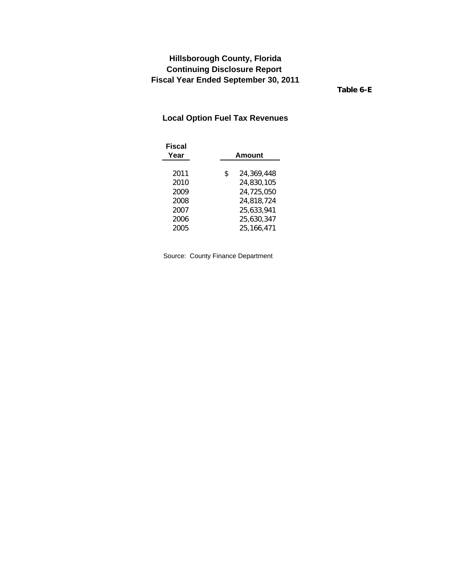**Table 6-E**

# <span id="page-23-0"></span>**Local Option Fuel Tax Revenues**

| Fiscal<br>Year | Amount           |
|----------------|------------------|
| 2011           | 24,369,448<br>\$ |
| 2010           | 24,830,105       |
| 2009           | 24,725,050       |
| 2008           | 24,818,724       |
| 2007           | 25,633,941       |
| 2006           | 25,630,347       |
| 2005           | 25,166,471       |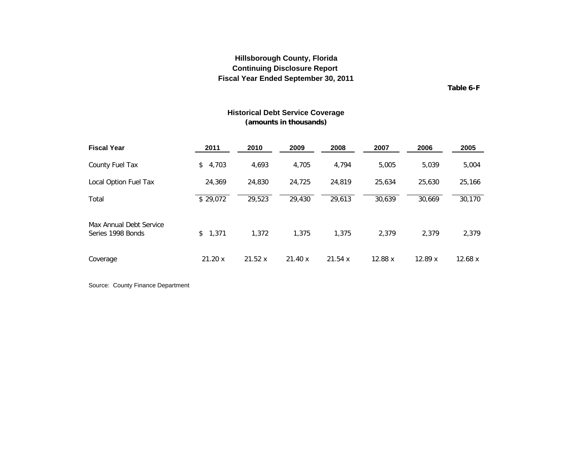**Table 6-F**

### **Historical Debt Service Coverage (amounts in thousands)**

<span id="page-24-0"></span>

| <b>Fiscal Year</b>                           | 2011     | 2010   | 2009   | 2008   | 2007    | 2006   | 2005    |
|----------------------------------------------|----------|--------|--------|--------|---------|--------|---------|
| County Fuel Tax                              | \$4,703  | 4,693  | 4,705  | 4.794  | 5.005   | 5.039  | 5,004   |
| Local Option Fuel Tax                        | 24,369   | 24,830 | 24,725 | 24,819 | 25,634  | 25.630 | 25,166  |
| Total                                        | \$29,072 | 29,523 | 29,430 | 29,613 | 30,639  | 30,669 | 30,170  |
| Max Annual Debt Service<br>Series 1998 Bonds | \$1.371  | 1.372  | 1.375  | 1.375  | 2.379   | 2.379  | 2,379   |
| Coverage                                     | 21.20x   | 21.52x | 21.40x | 21.54x | 12.88 x | 12.89x | 12.68 x |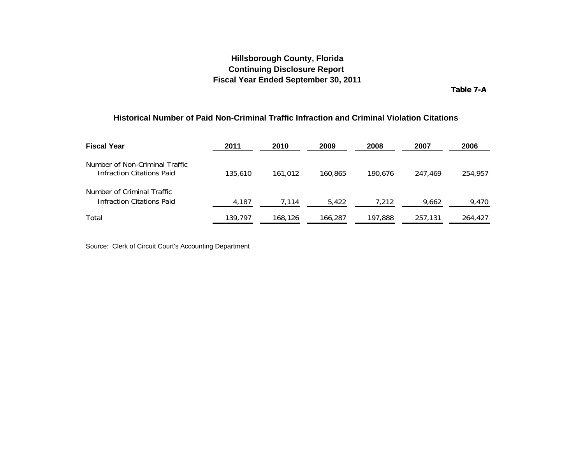**Table 7-A**

#### <span id="page-25-0"></span>**Historical Number of Paid Non-Criminal Traffic Infraction and Criminal Violation Citations**

| <b>Fiscal Year</b>                                                 | 2011    | 2010    | 2009    | 2008    | 2007    | 2006    |
|--------------------------------------------------------------------|---------|---------|---------|---------|---------|---------|
| Number of Non-Criminal Traffic<br><b>Infraction Citations Paid</b> | 135,610 | 161.012 | 160.865 | 190.676 | 247.469 | 254,957 |
| Number of Criminal Traffic<br><b>Infraction Citations Paid</b>     | 4,187   | 7,114   | 5,422   | 7,212   | 9,662   | 9,470   |
| Total                                                              | 139,797 | 168,126 | 166,287 | 197,888 | 257,131 | 264,427 |

Source: Clerk of Circuit Court's Accounting Department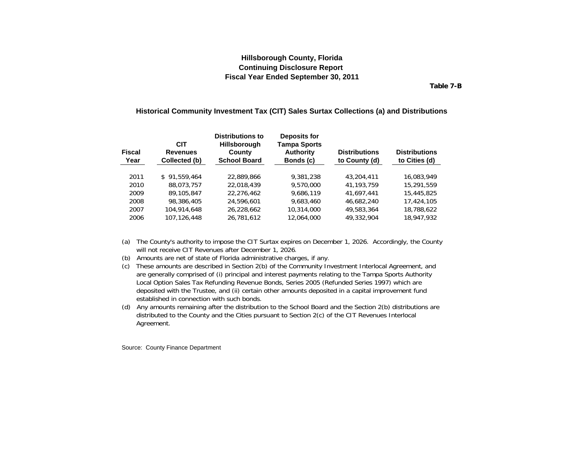**Table 7-B**

#### <span id="page-26-0"></span>**Historical Community Investment Tax (CIT) Sales Surtax Collections (a) and Distributions**

| <b>Fiscal</b><br>Year | <b>CIT</b><br><b>Revenues</b><br>Collected (b) | <b>Distributions to</b><br><b>Hillsborough</b><br>County<br><b>School Board</b> | Deposits for<br><b>Tampa Sports</b><br><b>Authority</b><br>Bonds (c) | <b>Distributions</b><br>to County (d) | <b>Distributions</b><br>to Cities (d) |
|-----------------------|------------------------------------------------|---------------------------------------------------------------------------------|----------------------------------------------------------------------|---------------------------------------|---------------------------------------|
| 2011                  | \$91.559.464                                   | 22.889.866                                                                      | 9.381.238                                                            | 43,204,411                            | 16.083.949                            |
| 2010                  | 88.073.757                                     | 22.018.439                                                                      | 9,570,000                                                            | 41.193.759                            | 15,291,559                            |
| 2009                  | 89,105,847                                     | 22.276.462                                                                      | 9.686.119                                                            | 41.697.441                            | 15,445,825                            |
| 2008                  | 98,386,405                                     | 24,596,601                                                                      | 9.683.460                                                            | 46,682,240                            | 17,424,105                            |
| 2007                  | 104.914.648                                    | 26,228,662                                                                      | 10,314,000                                                           | 49,583,364                            | 18,788,622                            |
| 2006                  | 107.126.448                                    | 26,781,612                                                                      | 12,064,000                                                           | 49,332,904                            | 18,947,932                            |

(a) The County's authority to impose the CIT Surtax expires on December 1, 2026. Accordingly, the County will not receive CIT Revenues after December 1, 2026.

(b) Amounts are net of state of Florida administrative charges, if any.

(c) These amounts are described in Section 2(b) of the Community Investment Interlocal Agreement, and are generally comprised of (i) principal and interest payments relating to the Tampa Sports Authority Local Option Sales Tax Refunding Revenue Bonds, Series 2005 (Refunded Series 1997) which are deposited with the Trustee, and (ii) certain other amounts deposited in a capital improvement fund established in connection with such bonds.

(d) Any amounts remaining after the distribution to the School Board and the Section 2(b) distributions are distributed to the County and the Cities pursuant to Section 2(c) of the CIT Revenues Interlocal Agreement.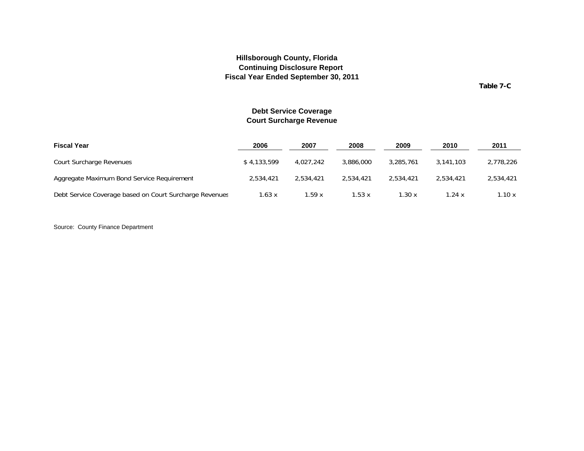**Table 7-C**

### **Debt Service Coverage Court Surcharge Revenue**

<span id="page-27-0"></span>

| <b>Fiscal Year</b>                                      | 2006        | 2007      | 2008      | 2009      | 2010      | 2011      |
|---------------------------------------------------------|-------------|-----------|-----------|-----------|-----------|-----------|
| Court Surcharge Revenues                                | \$4,133,599 | 4.027.242 | 3,886,000 | 3,285,761 | 3.141.103 | 2,778,226 |
| Aggregate Maximum Bond Service Reguirement              | 2,534,421   | 2.534.421 | 2.534.421 | 2,534,421 | 2.534.421 | 2.534.421 |
| Debt Service Coverage based on Court Surcharge Revenues | 1.63x       | 1.59 x    | 1.53x     | .30x      | 1.24 x    | 1.10 x    |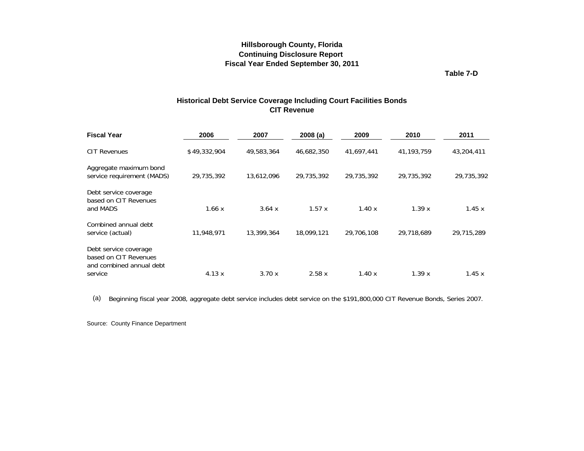**Table 7-D**

### **Historical Debt Service Coverage Including Court Facilities Bonds CIT Revenue**

<span id="page-28-0"></span>

| 2006         | 2007       | 2008(a)    | 2009       | 2010         | 2011       |
|--------------|------------|------------|------------|--------------|------------|
| \$49,332,904 | 49,583,364 | 46,682,350 | 41,697,441 | 41, 193, 759 | 43,204,411 |
| 29,735,392   | 13,612,096 | 29,735,392 | 29,735,392 | 29,735,392   | 29,735,392 |
| 1.66x        | 3.64 x     | 1.57x      | 1.40x      | 1.39x        | 1.45x      |
| 11,948,971   | 13,399,364 | 18.099.121 | 29,706,108 | 29,718,689   | 29,715,289 |
|              |            |            |            |              | 1.45x      |
|              | 4.13x      | 3.70x      | 2.58x      | 1.40x        | 1.39x      |

(a) Beginning fiscal year 2008, aggregate debt service includes debt service on the \$191,800,000 CIT Revenue Bonds, Series 2007.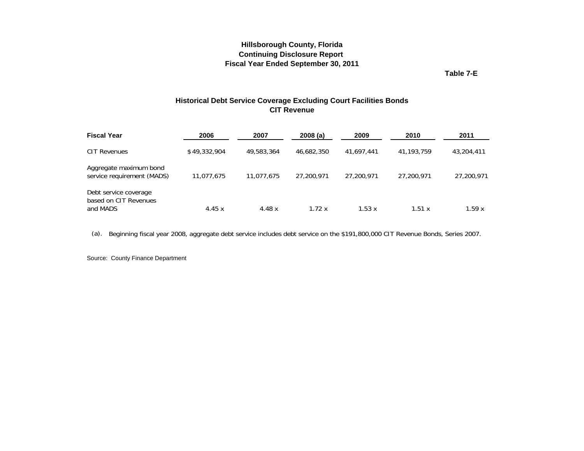**Table 7-E**

### **Historical Debt Service Coverage Excluding Court Facilities Bonds CIT Revenue**

<span id="page-29-0"></span>

| <b>Fiscal Year</b>                                         | 2006         | 2007       | 2008(a)    | 2009       | 2010       | 2011       |
|------------------------------------------------------------|--------------|------------|------------|------------|------------|------------|
| <b>CIT Revenues</b>                                        | \$49,332,904 | 49,583,364 | 46,682,350 | 41.697.441 | 41,193,759 | 43,204,411 |
| Aggregate maximum bond<br>service requirement (MADS)       | 11,077,675   | 11,077,675 | 27,200,971 | 27,200,971 | 27.200.971 | 27,200,971 |
| Debt service coverage<br>based on CIT Revenues<br>and MADS | 4.45 $x$     | 4.48 x     | 1.72x      | 1.53 x     | 1.51 x     | 1.59x      |

<sup>x</sup> <sup>x</sup> <sup>x</sup> <sup>x</sup> <sup>x</sup> x(a). Beginning fiscal year 2008, aggregate debt service includes debt service on the \$191,800,000 CIT Revenue Bonds, Series 2007.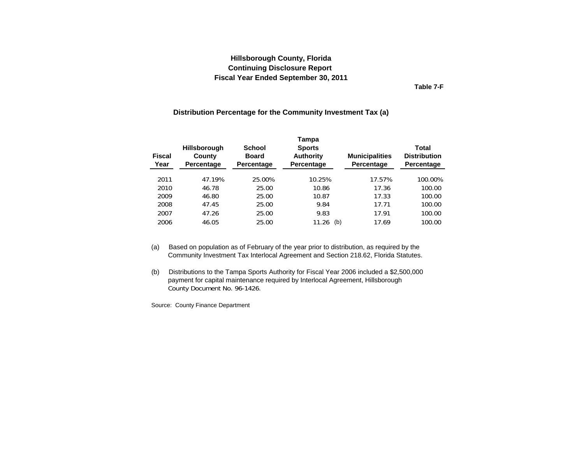**Table 7-F**

#### **Distribution Percentage for the Community Investment Tax (a)**

<span id="page-30-0"></span>

| <b>Fiscal</b><br>Year | <b>Hillsborough</b><br>County<br>Percentage | School<br><b>Board</b><br>Percentage | Tampa<br><b>Sports</b><br><b>Authority</b><br>Percentage | <b>Municipalities</b><br>Percentage | Total<br><b>Distribution</b><br>Percentage |
|-----------------------|---------------------------------------------|--------------------------------------|----------------------------------------------------------|-------------------------------------|--------------------------------------------|
| 2011                  | 47.19%                                      | 25.00%                               | 10.25%                                                   | 17.57%                              | 100.00%                                    |
| 2010                  | 46.78                                       | 25.00                                | 10.86                                                    | 17.36                               | 100.00                                     |
| 2009                  | 46.80                                       | 25.00                                | 10.87                                                    | 17.33                               | 100.00                                     |
| 2008                  | 47.45                                       | 25.00                                | 9.84                                                     | 17.71                               | 100.00                                     |
| 2007                  | 47.26                                       | 25.00                                | 9.83                                                     | 17.91                               | 100.00                                     |
| 2006                  | 46.05                                       | 25.00                                | 11.26<br>(b)                                             | 17.69                               | 100.00                                     |

- (a) Based on population as of February of the year prior to distribution, as required by the Community Investment Tax Interlocal Agreement and Section 218.62, Florida Statutes.
- (b) Distributions to the Tampa Sports Authority for Fiscal Year 2006 included a \$2,500,000 payment for capital maintenance required by Interlocal Agreement, Hillsborough County Document No. 96-1426.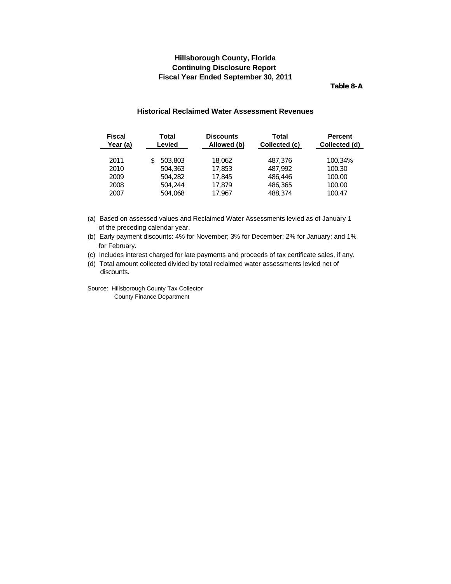**Table 8-A**

#### **Historical Reclaimed Water Assessment Revenues**

<span id="page-31-0"></span>

| <b>Fiscal</b>        | Total                              | <b>Discounts</b>           | Total                         | <b>Percent</b>              |
|----------------------|------------------------------------|----------------------------|-------------------------------|-----------------------------|
| Year (a)             | Levied                             | Allowed (b)                | Collected (c)                 | Collected (d)               |
| 2011<br>2010<br>2009 | 503,803<br>S<br>504,363<br>504,282 | 18.062<br>17,853<br>17,845 | 487.376<br>487.992<br>486,446 | 100.34%<br>100.30<br>100.00 |
| 2008                 | 504,244                            | 17.879                     | 486,365                       | 100.00                      |
| 2007                 | 504,068                            | 17.967                     | 488,374                       | 100.47                      |

(a) Based on assessed values and Reclaimed Water Assessments levied as of January 1 of the preceding calendar year.

(b) Early payment discounts: 4% for November; 3% for December; 2% for January; and 1% for February.

(c) Includes interest charged for late payments and proceeds of tax certificate sales, if any.

(d) Total amount collected divided by total reclaimed water assessments levied net of discounts.

Source: Hillsborough County Tax Collector County Finance Department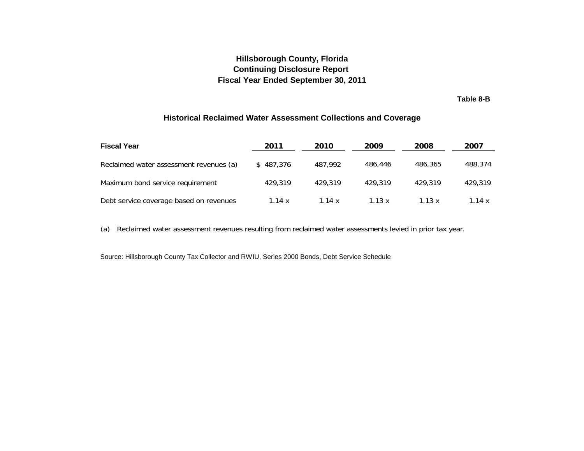**Table 8-B**

### **Historical Reclaimed Water Assessment Collections and Coverage**

<span id="page-32-0"></span>

| <b>Fiscal Year</b>                      | 2011      | 2010     | 2009    | 2008    | 2007    |
|-----------------------------------------|-----------|----------|---------|---------|---------|
| Reclaimed water assessment revenues (a) | \$487.376 | 487.992  | 486.446 | 486.365 | 488,374 |
| Maximum bond service requirement        | 429.319   | 429.319  | 429.319 | 429.319 | 429,319 |
| Debt service coverage based on revenues | 1.14 $x$  | 1.14 $x$ | 1.13x   | 1.13x   | 1.14 x  |

(a) Reclaimed water assessment revenues resulting from reclaimed water assessments levied in prior tax year.

Source: Hillsborough County Tax Collector and RWIU, Series 2000 Bonds, Debt Service Schedule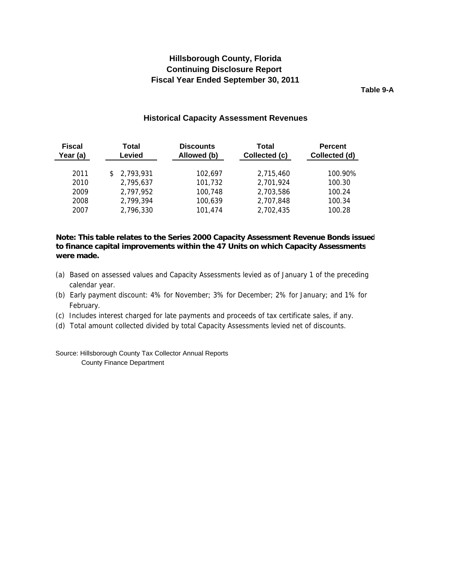**Table 9-A**

#### **Historical Capacity Assessment Revenues**

<span id="page-33-0"></span>

| <b>Fiscal</b><br>Year (a) | Total<br>Levied | <b>Discounts</b><br>Allowed (b) | Total<br>Collected (c) | <b>Percent</b><br>Collected (d) |
|---------------------------|-----------------|---------------------------------|------------------------|---------------------------------|
| 2011                      | \$2,793,931     | 102.697                         | 2,715,460              | 100.90%                         |
| 2010                      | 2,795,637       | 101,732                         | 2,701,924              | 100.30                          |
| 2009                      | 2.797.952       | 100.748                         | 2.703.586              | 100.24                          |
| 2008                      | 2,799,394       | 100,639                         | 2.707.848              | 100.34                          |
| 2007                      | 2,796,330       | 101.474                         | 2,702,435              | 100.28                          |

### **Note: This table relates to the Series 2000 Capacity Assessment Revenue Bonds issued to finance capital improvements within the 47 Units on which Capacity Assessments were made.**

- (a) Based on assessed values and Capacity Assessments levied as of January 1 of the preceding calendar year.
- (b) Early payment discount: 4% for November; 3% for December; 2% for January; and 1% for February.
- (c) Includes interest charged for late payments and proceeds of tax certificate sales, if any.
- (d) Total amount collected divided by total Capacity Assessments levied net of discounts.

Source: Hillsborough County Tax Collector Annual Reports County Finance Department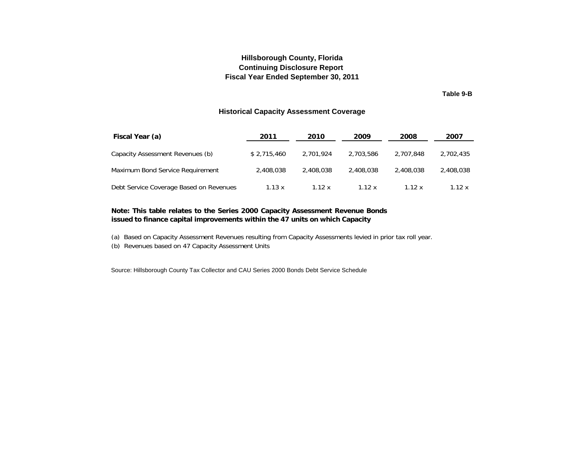### **Fiscal Year Ended September 30, 2011 Continuing Disclosure Report Hillsborough County, Florida**

**Table 9-B**

#### **Historical Capacity Assessment Coverage**

<span id="page-34-0"></span>

| Fiscal Year (a)                         | 2011          | 2010      | 2009      | 2008      | 2007      |
|-----------------------------------------|---------------|-----------|-----------|-----------|-----------|
| Capacity Assessment Revenues (b)        | \$2,715,460   | 2.701.924 | 2,703,586 | 2,707,848 | 2,702,435 |
| Maximum Bond Service Requirement        | 2,408,038     | 2.408.038 | 2,408,038 | 2,408,038 | 2,408,038 |
| Debt Service Coverage Based on Revenues | $1.13 \times$ | 1.12 x    | 1.12 x    | 1.12 x    | 1.12 x    |

#### **Note: This table relates to the Series 2000 Capacity Assessment Revenue Bonds issued to finance capital improvements within the 47 units on which Capacity**

- (a) Based on Capacity Assessment Revenues resulting from Capacity Assessments levied in prior tax roll year.
- (b) Revenues based on 47 Capacity Assessment Units

Source: Hillsborough County Tax Collector and CAU Series 2000 Bonds Debt Service Schedule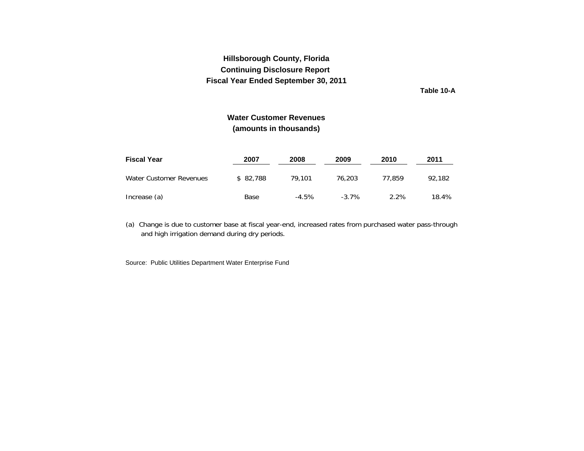**Table 10-A**

# **Water Customer Revenues(amounts in thousands)**

<span id="page-35-0"></span>

| <b>Fiscal Year</b>      | 2007     | 2008    | 2009     | 2010   | 2011   |
|-------------------------|----------|---------|----------|--------|--------|
| Water Customer Revenues | \$82.788 | 79.101  | 76.203   | 77.859 | 92.182 |
| Increase (a)            | Base     | $-4.5%$ | $-3.7\%$ | 2.2%   | 18.4%  |

(a) Chan ge is due to customer base at fiscal year-end, increased rates from purchased water pass-throu g h and hi gh irri gation demand durin g dry periods.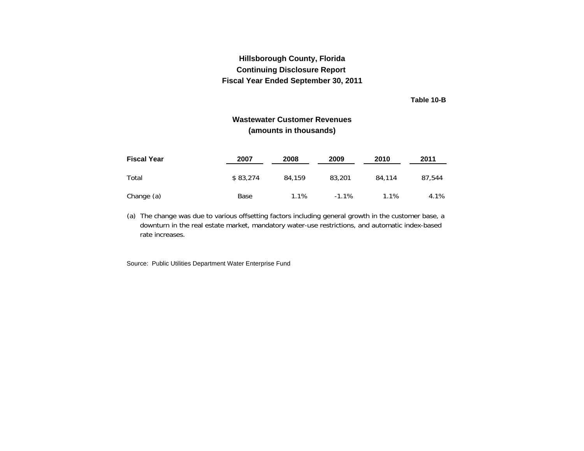**Table 10-B**

# **Wastewater Customer Revenues(amounts in thousands)**

<span id="page-36-0"></span>

| <b>Fiscal Year</b> | 2007     | 2008   | 2009    | 2010    | 2011   |
|--------------------|----------|--------|---------|---------|--------|
| Total              | \$83,274 | 84,159 | 83,201  | 84.114  | 87.544 |
| Change (a)         | Base     | 1.1%   | $-1.1%$ | $1.1\%$ | 4.1%   |

(a) The change was due to various offsetting factors including general growth in the customer base, a downturn in the real estate market, mandatory water-use restrictions, and automatic index-based rate increases.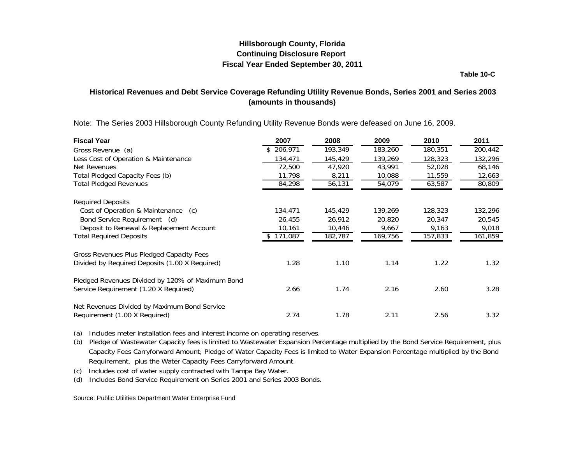**Table 10-C**

# <span id="page-37-0"></span>**Historical Revenues and Debt Service Coverage Refunding Utility Revenue Bonds, Series 2001 and Series 2003 (amounts in thousands)**

Note: The Series 2003 Hillsborough County Refunding Utility Revenue Bonds were defeased on June 16, 2009.

| <b>Fiscal Year</b>                               | 2007          | 2008    | 2009    | 2010    | 2011    |
|--------------------------------------------------|---------------|---------|---------|---------|---------|
| Gross Revenue (a)                                | 206,971<br>\$ | 193,349 | 183,260 | 180,351 | 200,442 |
| Less Cost of Operation & Maintenance             | 134,471       | 145,429 | 139,269 | 128,323 | 132,296 |
| Net Revenues                                     | 72,500        | 47.920  | 43,991  | 52,028  | 68,146  |
| Total Pledged Capacity Fees (b)                  | 11,798        | 8,211   | 10,088  | 11,559  | 12,663  |
| <b>Total Pledged Revenues</b>                    | 84,298        | 56,131  | 54,079  | 63,587  | 80,809  |
| <b>Required Deposits</b>                         |               |         |         |         |         |
| Cost of Operation & Maintenance (c)              | 134,471       | 145,429 | 139,269 | 128,323 | 132,296 |
| Bond Service Requirement (d)                     | 26,455        | 26,912  | 20,820  | 20,347  | 20,545  |
| Deposit to Renewal & Replacement Account         | 10,161        | 10,446  | 9,667   | 9,163   | 9,018   |
| <b>Total Required Deposits</b>                   | 171,087       | 182,787 | 169,756 | 157,833 | 161,859 |
| Gross Revenues Plus Pledged Capacity Fees        |               |         |         |         |         |
| Divided by Required Deposits (1.00 X Required)   | 1.28          | 1.10    | 1.14    | 1.22    | 1.32    |
| Pledged Revenues Divided by 120% of Maximum Bond |               |         |         |         |         |
| Service Requirement (1.20 X Required)            | 2.66          | 1.74    | 2.16    | 2.60    | 3.28    |
| Net Revenues Divided by Maximum Bond Service     |               |         |         |         |         |
| Requirement (1.00 X Required)                    | 2.74          | 1.78    | 2.11    | 2.56    | 3.32    |

(a) Includes meter installation fees and interest income on o peratin g reserves.

(b) Pledge of Wastewater Capacity fees is limited to Wastewater Expansion Percentage multiplied by the Bond Service Requirement, plus Capacity Fees Carryforward Amount; Pledge of Water Capacity Fees is limited to Water Expansion Percentage multiplied by the Bond Requirement, plus the Water Capacity Fees Carryforward Amount.

(c) Includes cost of water supply contracted with Tam pa Ba y Water.

(d) Includes Bond Service Requirement on Series 2001 and Series 2003 Bonds.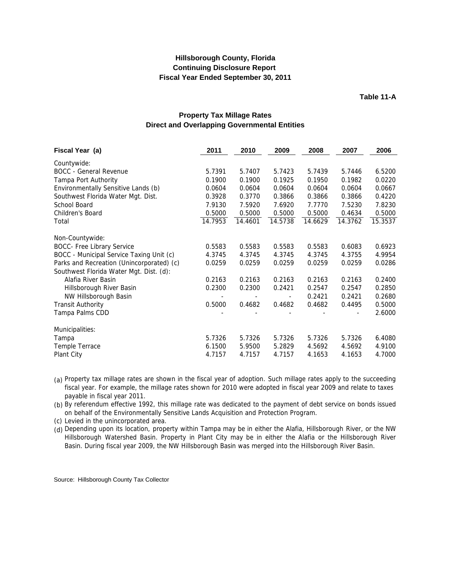**Table 11-A**

### **Property Tax Millage Rates Direct and Overlapping Governmental Entities**

<span id="page-38-0"></span>

| Fiscal Year (a)                           | 2011    | 2010    | 2009    | 2008    | 2007    | 2006    |
|-------------------------------------------|---------|---------|---------|---------|---------|---------|
| Countywide:                               |         |         |         |         |         |         |
| <b>BOCC</b> - General Revenue             | 5.7391  | 5.7407  | 5.7423  | 5.7439  | 5.7446  | 6.5200  |
| Tampa Port Authority                      | 0.1900  | 0.1900  | 0.1925  | 0.1950  | 0.1982  | 0.0220  |
| Environmentally Sensitive Lands (b)       | 0.0604  | 0.0604  | 0.0604  | 0.0604  | 0.0604  | 0.0667  |
| Southwest Florida Water Mgt. Dist.        | 0.3928  | 0.3770  | 0.3866  | 0.3866  | 0.3866  | 0.4220  |
| School Board                              | 7.9130  | 7.5920  | 7.6920  | 7.7770  | 7.5230  | 7.8230  |
| Children's Board                          | 0.5000  | 0.5000  | 0.5000  | 0.5000  | 0.4634  | 0.5000  |
| Total                                     | 14.7953 | 14.4601 | 14.5738 | 14.6629 | 14.3762 | 15.3537 |
| Non-Countywide:                           |         |         |         |         |         |         |
| <b>BOCC- Free Library Service</b>         | 0.5583  | 0.5583  | 0.5583  | 0.5583  | 0.6083  | 0.6923  |
| BOCC - Municipal Service Taxing Unit (c)  | 4.3745  | 4.3745  | 4.3745  | 4.3745  | 4.3755  | 4.9954  |
| Parks and Recreation (Unincorporated) (c) | 0.0259  | 0.0259  | 0.0259  | 0.0259  | 0.0259  | 0.0286  |
| Southwest Florida Water Mgt. Dist. (d):   |         |         |         |         |         |         |
| Alafia River Basin                        | 0.2163  | 0.2163  | 0.2163  | 0.2163  | 0.2163  | 0.2400  |
| Hillsborough River Basin                  | 0.2300  | 0.2300  | 0.2421  | 0.2547  | 0.2547  | 0.2850  |
| NW Hillsborough Basin                     |         |         |         | 0.2421  | 0.2421  | 0.2680  |
| <b>Transit Authority</b>                  | 0.5000  | 0.4682  | 0.4682  | 0.4682  | 0.4495  | 0.5000  |
| Tampa Palms CDD                           |         |         |         |         |         | 2.6000  |
| Municipalities:                           |         |         |         |         |         |         |
| Tampa                                     | 5.7326  | 5.7326  | 5.7326  | 5.7326  | 5.7326  | 6.4080  |
| Temple Terrace                            | 6.1500  | 5.9500  | 5.2829  | 4.5692  | 4.5692  | 4.9100  |
| Plant City                                | 4.7157  | 4.7157  | 4.7157  | 4.1653  | 4.1653  | 4.7000  |

(a) Property tax millage rates are shown in the fiscal year of adoption. Such millage rates apply to the succeeding fiscal year. For example, the millage rates shown for 2010 were adopted in fiscal year 2009 and relate to taxes payable in fiscal year 2011.

(b) By referendum effective 1992, this millage rate was dedicated to the payment of debt service on bonds issued on behalf of the Environmentally Sensitive Lands Acquisition and Protection Program.

(c) Levied in the unincorporated area.

(d) Depending upon its location, property within Tampa may be in either the Alafia, Hillsborough River, or the NW Hillsborough Watershed Basin. Property in Plant City may be in either the Alafia or the Hillsborough River Basin. During fiscal year 2009, the NW Hillsborough Basin was merged into the Hillsborough River Basin.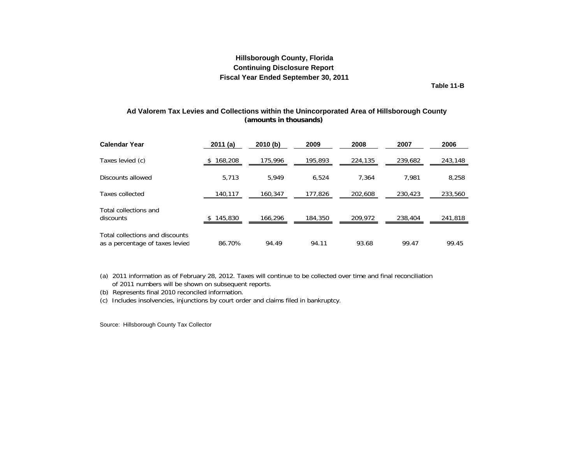**Table 11-B**

#### <span id="page-39-0"></span>**(amounts in thousands) Ad Valorem Tax Levies and Collections within the Unincorporated Area of Hillsborough County**

| <b>Calendar Year</b>                                               | 2011(a) | 2010(b) | 2009    | 2008    | 2007    | 2006    |
|--------------------------------------------------------------------|---------|---------|---------|---------|---------|---------|
| Taxes levied (c)                                                   | 168,208 | 175,996 | 195,893 | 224,135 | 239,682 | 243,148 |
| Discounts allowed                                                  | 5,713   | 5.949   | 6,524   | 7,364   | 7.981   | 8,258   |
| Taxes collected                                                    | 140,117 | 160.347 | 177,826 | 202,608 | 230,423 | 233,560 |
| Total collections and<br>discounts                                 | 145,830 | 166,296 | 184,350 | 209,972 | 238,404 | 241,818 |
| Total collections and discounts<br>as a percentage of taxes levied | 86.70%  | 94.49   | 94.11   | 93.68   | 99.47   | 99.45   |

(a) 2011 information as of February 28, 2012. Taxes will continue to be collected over time and final reconciliation of 2011 numbers will be shown on subsequent reports.

(b) Represents final 2010 reconciled information.

(c) Includes insolvencies, injunctions by court order and claims filed in bankruptcy.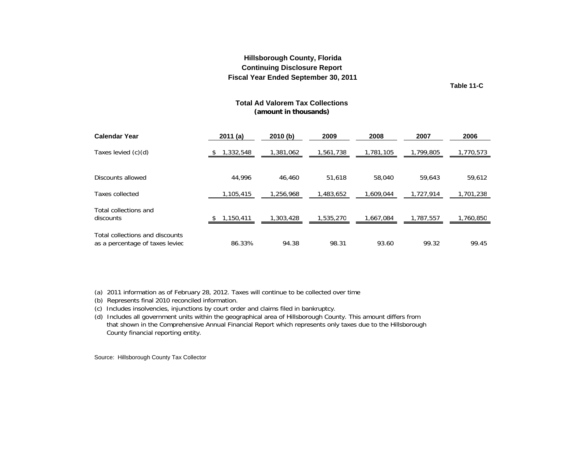**Table 11-C**

#### **Total Ad Valorem Tax Collections (amount in thousands)**

<span id="page-40-0"></span>

| <b>Calendar Year</b>                                               | 2011(a)   | 2010(b)   | 2009      | 2008      | 2007      | 2006      |
|--------------------------------------------------------------------|-----------|-----------|-----------|-----------|-----------|-----------|
| Taxes levied (c)(d)                                                | 1,332,548 | 1,381,062 | 1,561,738 | 1,781,105 | 1,799,805 | 1,770,573 |
| Discounts allowed                                                  | 44.996    | 46,460    | 51.618    | 58,040    | 59.643    | 59,612    |
| Taxes collected                                                    | 1,105,415 | 1.256.968 | 1,483,652 | 1.609.044 | 1.727.914 | 1,701,238 |
| Total collections and<br>discounts                                 | 1,150,411 | 1,303,428 | 1,535,270 | 1,667,084 | 1,787,557 | 1,760,850 |
| Total collections and discounts<br>as a percentage of taxes levied | 86.33%    | 94.38     | 98.31     | 93.60     | 99.32     | 99.45     |

(a) 2011 information as of February 28, 2012. Taxes will continue to be collected over time

- (b) Represents final 2010 reconciled information.
- (c) Includes insolvencies, injunctions by court order and claims filed in bankruptcy.

(d) Includes all government units within the geographical area of Hillsborough County. This amount differs from that shown in the Comprehensive Annual Financial Report which represents only taxes due to the Hillsborough County financial reporting entity.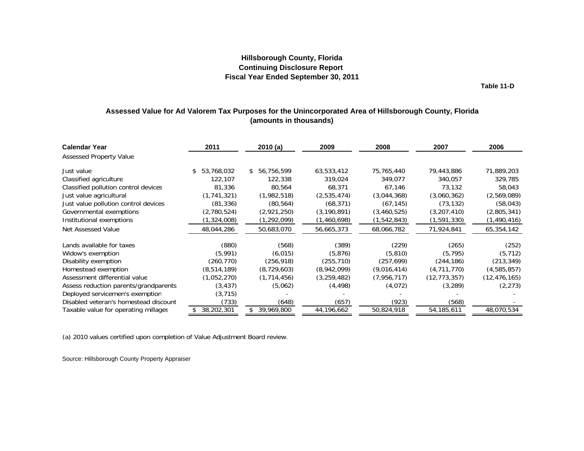**Table 11-D**

### <span id="page-41-0"></span>**Assessed Value for Ad Valorem Tax Purposes for the Unincorporated Area of Hillsborough County, Florida (amounts in thousands)**

| <b>Calendar Year</b><br><b>Assessed Property Value</b> | 2011              | 2010(a)       | 2009          | 2008        | 2007           | 2006           |
|--------------------------------------------------------|-------------------|---------------|---------------|-------------|----------------|----------------|
|                                                        |                   |               |               |             |                |                |
| Just value                                             | 53,768,032<br>\$. | \$56,756,599  | 63,533,412    | 75,765,440  | 79,443,886     | 71,889,203     |
| Classified agriculture                                 | 122,107           | 122,338       | 319,024       | 349.077     | 340,057        | 329,785        |
| Classified pollution control devices                   | 81,336            | 80,564        | 68,371        | 67,146      | 73,132         | 58,043         |
| Just value agricultural                                | (1,741,321)       | (1,982,518)   | (2,535,474)   | (3,044,368) | (3,060,362)    | (2,569,089)    |
| Just value pollution control devices                   | (81, 336)         | (80, 564)     | (68, 371)     | (67, 145)   | (73, 132)      | (58, 043)      |
| Governmental exemptions                                | (2,780,524)       | (2,921,250)   | (3, 190, 891) | (3,460,525) | (3,207,410)    | (2,805,341)    |
| Institutional exemptions                               | (1,324,008)       | (1,292,099)   | (1,460,698)   | (1,542,843) | (1,591,330)    | (1,490,416)    |
| Net Assessed Value                                     | 48,044,286        | 50,683,070    | 56,665,373    | 68,066,782  | 71,924,841     | 65,354,142     |
| Lands available for taxes                              | (880)             | (568)         | (389)         | (229)       | (265)          | (252)          |
| Widow's exemption                                      | (5,991)           | (6,015)       | (5,876)       | (5, 810)    | (5, 795)       | (5, 712)       |
| Disability exemption                                   | (260, 770)        | (256, 918)    | (255, 710)    | (257, 699)  | (244, 186)     | (213, 349)     |
| Homestead exemption                                    | (8, 514, 189)     | (8,729,603)   | (8,942,099)   | (9,016,414) | (4,711,770)    | (4,585,857)    |
| Assessment differential value                          | (1,052,270)       | (1, 714, 456) | (3, 259, 482) | (7,956,717) | (12, 773, 357) | (12, 476, 165) |
| Assess reduction parents/grandparents                  | (3, 437)          | (5,062)       | (4, 498)      | (4,072)     | (3, 289)       | (2, 273)       |
| Deployed servicemen's exemption                        | (3, 715)          |               |               |             |                |                |
| Disabled veteran's homestead discount                  | (733)             | (648)         | (657)         | (923)       | (568)          |                |
| Taxable value for operating millages                   | 38,202,301        | 39,969,800    | 44,196,662    | 50,824,918  | 54, 185, 611   | 48,070,534     |

(a) 2010 values certified u pon com pletion of Value Adjustment Board review.

Source: Hillsborough County Property Appraiser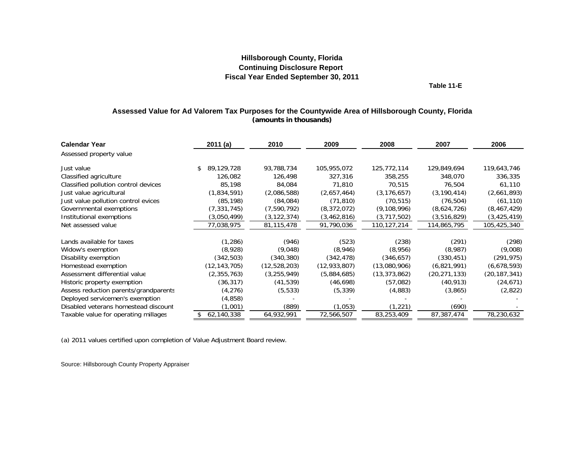**Table 11-E**

### **Assessed Value for Ad Valorem Tax Purposes for the Countywide Area of Hillsborough County, Florida (amounts in thousands)**

<span id="page-42-0"></span>

| <b>Calendar Year</b>                  | 2011(a)           | 2010          | 2009           | 2008           | 2007           | 2006           |
|---------------------------------------|-------------------|---------------|----------------|----------------|----------------|----------------|
| Assessed property value               |                   |               |                |                |                |                |
| Just value                            | 89,129,728<br>\$. | 93,788,734    | 105,955,072    | 125,772,114    | 129,849,694    | 119,643,746    |
| Classified agriculture                | 126.082           | 126,498       | 327,316        | 358,255        | 348,070        | 336,335        |
| Classified pollution control devices  | 85,198            | 84,084        | 71,810         | 70,515         | 76,504         | 61,110         |
| Just value agricultural               | (1,834,591)       | (2,086,588)   | (2,657,464)    | (3, 176, 657)  | (3, 190, 414)  | (2,661,893)    |
| Just value pollution control evices   | (85, 198)         | (84,084)      | (71, 810)      | (70, 515)      | (76, 504)      | (61, 110)      |
| Governmental exemptions               | (7, 331, 745)     | (7,590,792)   | (8,372,072)    | (9, 108, 996)  | (8,624,726)    | (8,467,429)    |
| Institutional exemptions              | (3,050,499)       | (3, 122, 374) | (3,462,816)    | (3,717,502)    | (3,516,829)    | (3, 425, 419)  |
| Net assessed value                    | 77,038,975        | 81,115,478    | 91,790,036     | 110,127,214    | 114,865,795    | 105,425,340    |
|                                       |                   |               |                |                |                |                |
| Lands available for taxes             | (1,286)           | (946)         | (523)          | (238)          | (291)          | (298)          |
| Widow's exemption                     | (8,928)           | (9,048)       | (8,946)        | (8,956)        | (8,987)        | (9,008)        |
| Disability exemption                  | (342,503)         | (340, 380)    | (342, 478)     | (346, 657)     | (330, 451)     | (291, 975)     |
| Homestead exemption                   | (12, 143, 705)    | (12,528,203)  | (12, 933, 807) | (13,080,906)   | (6,821,991)    | (6,678,593)    |
| Assessment differential value         | (2,355,763)       | (3, 255, 949) | (5,884,685)    | (13, 373, 862) | (20, 271, 133) | (20, 187, 341) |
| Historic property exemption           | (36, 317)         | (41, 539)     | (46,698)       | (57,082)       | (40, 913)      | (24, 671)      |
| Assess reduction parents/grandparents | (4,276)           | (5, 533)      | (5, 339)       | (4,883)        | (3,865)        | (2,822)        |
| Deployed servicemen's exemption       | (4,858)           |               |                |                |                |                |
| Disabled veterans homestead discount  | (1,001)           | (889)         | (1,053)        | (1,221)        | (690)          |                |
| Taxable value for operating millages  | 62,140,338        | 64,932,991    | 72,566,507     | 83,253,409     | 87,387,474     | 78,230,632     |

(a) 2011 values certified u pon com pletion of Value Adjustment Board review.

Source: Hillsborough County Property Appraiser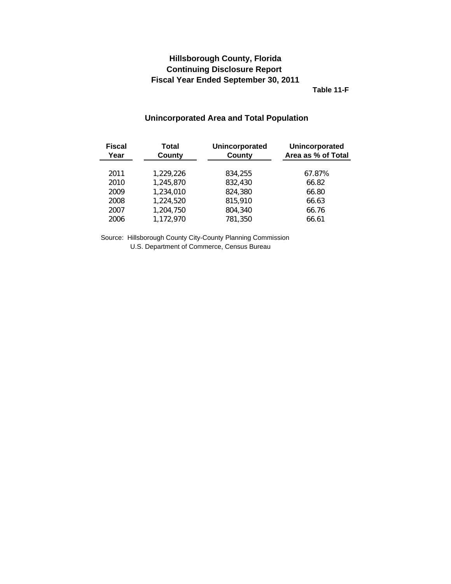**Table 11-F**

# **Unincorporated Area and Total Population**

<span id="page-43-0"></span>

| <b>Fiscal</b><br>Year | <b>Total</b><br>County | Unincorporated<br>County | Unincorporated<br>Area as % of Total |
|-----------------------|------------------------|--------------------------|--------------------------------------|
| 2011                  | 1,229,226              | 834,255                  | 67.87%                               |
| 2010                  | 1,245,870              | 832,430                  | 66.82                                |
| 2009                  | 1,234,010              | 824,380                  | 66.80                                |
| 2008                  | 1,224,520              | 815,910                  | 66.63                                |
| 2007                  | 1,204,750              | 804,340                  | 66.76                                |
| 2006                  | 1,172,970              | 781,350                  | 66.61                                |

Source: Hillsborough County City-County Planning Commission U.S. Department of Commerce, Census Bureau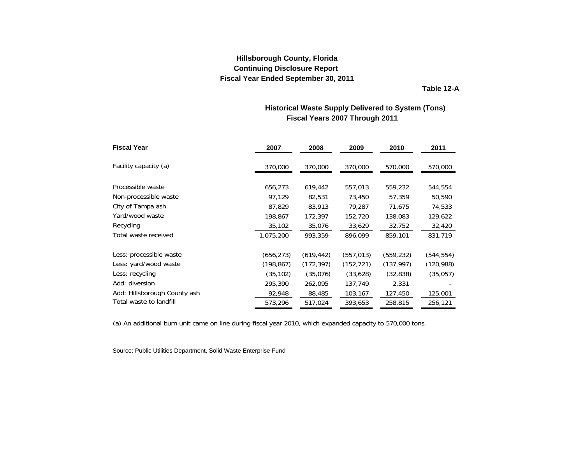**Table 12-A**

# **Fiscal Years 2007 Through 2011 Historical Waste Supply Delivered to System (Tons)**

<span id="page-44-0"></span>

| <b>Fiscal Year</b>           | 2007       | 2008       | 2009       | 2010       | 2011       |
|------------------------------|------------|------------|------------|------------|------------|
| Facility capacity (a)        | 370,000    | 370,000    | 370,000    | 570,000    | 570,000    |
|                              |            |            |            |            |            |
| Processible waste            | 656,273    | 619,442    | 557,013    | 559,232    | 544,554    |
| Non-processible waste        | 97,129     | 82,531     | 73,450     | 57,359     | 50,590     |
| City of Tampa ash            | 87,829     | 83,913     | 79,287     | 71,675     | 74,533     |
| Yard/wood waste              | 198,867    | 172,397    | 152,720    | 138,083    | 129,622    |
| Recycling                    | 35,102     | 35,076     | 33,629     | 32,752     | 32,420     |
| Total waste received         | 1,075,200  | 993,359    | 896.099    | 859,101    | 831,719    |
| Less: processible waste      | (656,273)  | (619, 442) | (557, 013) | (559, 232) | (544,554)  |
| Less: yard/wood waste        | (198, 867) | (172, 397) | (152, 721) | (137, 997) | (120, 988) |
| Less: recycling              | (35, 102)  | (35,076)   | (33,628)   | (32, 838)  | (35,057)   |
| Add: diversion               | 295,390    | 262,095    | 137,749    | 2,331      |            |
| Add: Hillsborough County ash | 92,948     | 88,485     | 103,167    | 127,450    | 125,001    |
| Total waste to landfill      | 573,296    | 517,024    | 393,653    | 258,815    | 256,121    |

(a) An additional burn unit came on line during fiscal year 2010, which expanded capacity to 570,000 tons.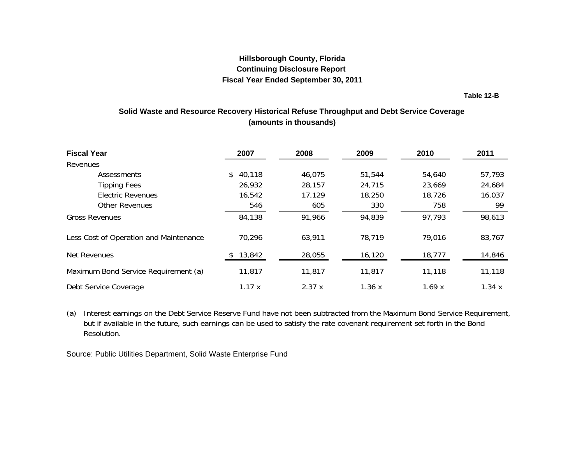**Table 12-B**

# <span id="page-45-0"></span>**Solid Waste and Resource Recovery Historical Refuse Throughput and Debt Service Coverage (amounts in thousands)**

| <b>Fiscal Year</b>                     | 2007         | 2008   | 2009   | 2010   | 2011   |
|----------------------------------------|--------------|--------|--------|--------|--------|
| Revenues                               |              |        |        |        |        |
| Assessments                            | 40,118<br>\$ | 46,075 | 51,544 | 54,640 | 57,793 |
| <b>Tipping Fees</b>                    | 26,932       | 28,157 | 24,715 | 23,669 | 24,684 |
| <b>Electric Revenues</b>               | 16,542       | 17,129 | 18,250 | 18,726 | 16,037 |
| <b>Other Revenues</b>                  | 546          | 605    | 330    | 758    | 99     |
| <b>Gross Revenues</b>                  | 84,138       | 91,966 | 94,839 | 97,793 | 98,613 |
| Less Cost of Operation and Maintenance | 70,296       | 63,911 | 78,719 | 79,016 | 83,767 |
| Net Revenues                           | 13,842       | 28,055 | 16,120 | 18,777 | 14,846 |
| Maximum Bond Service Requirement (a)   | 11,817       | 11,817 | 11,817 | 11,118 | 11,118 |
| Debt Service Coverage                  | 1.17x        | 2.37x  | 1.36x  | 1.69x  | 1.34x  |

(a) Interest earnings on the Debt Service Reserve Fund have not been subtracted from the Maximum Bond Service Requirement, but if available in the future, such earnings can be used to satisfy the rate covenant requirement set forth in the Bond Resolution.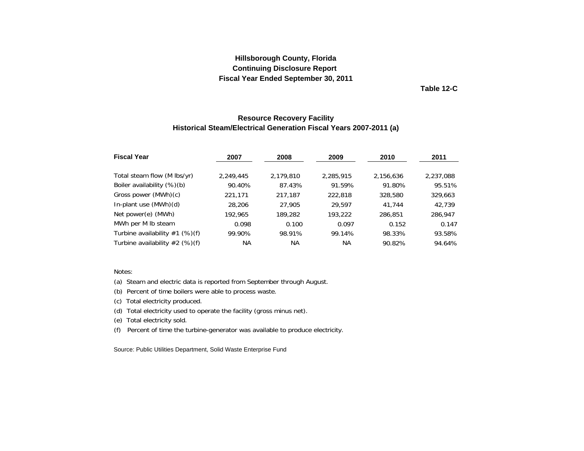**Table 12-C**

### **Resource Recovery Facility Historical Steam/Electrical Generation Fiscal Years 2007-2011 (a)**

<span id="page-46-0"></span>

| <b>Fiscal Year</b>               | 2007      | 2008      | 2009      | 2010      | 2011      |
|----------------------------------|-----------|-----------|-----------|-----------|-----------|
| Total steam flow (M lbs/yr)      | 2,249,445 | 2,179,810 | 2,285,915 | 2,156,636 | 2,237,088 |
| Boiler availability (%)(b)       | 90.40%    | 87.43%    | 91.59%    | 91.80%    | 95.51%    |
| Gross power (MWh)(c)             | 221,171   | 217.187   | 222,818   | 328,580   | 329,663   |
| In-plant use (MWh)(d)            | 28,206    | 27,905    | 29.597    | 41.744    | 42.739    |
| Net power(e) (MWh)               | 192,965   | 189,282   | 193,222   | 286,851   | 286,947   |
| MWh per M Ib steam               | 0.098     | 0.100     | 0.097     | 0.152     | 0.147     |
| Turbine availability $#1$ (%)(f) | 99.90%    | 98.91%    | 99.14%    | 98.33%    | 93.58%    |
| Turbine availability $#2$ (%)(f) | ΝA        | ΝA        | ΝA        | 90.82%    | 94.64%    |

#### Notes:

(a) Steam and electric data is reported from September through August.

(b) Percent of time boilers were able to process waste.

(c) Total electricity produced.

(d) Total electricity used to operate the facility (gross minus net).

(e) Total electricity sold.

(f) Percent of time the turbine-generator was available to produce electricity.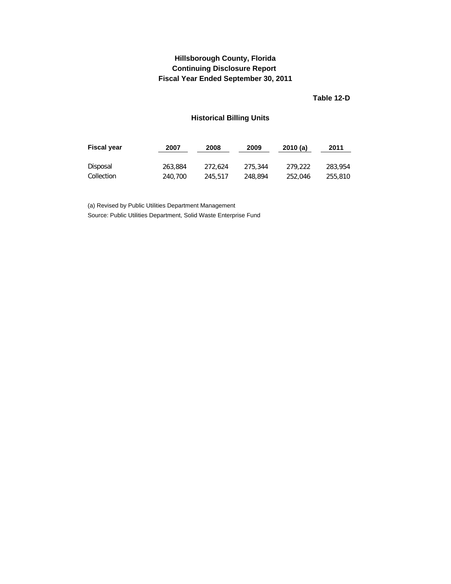# <span id="page-47-0"></span>**Fiscal Year Ended September 30, 2011 Hillsborough County, Florida Continuing Disclosure Report**

**Table 12-D**

# **Historical Billing Units**

| <b>Fiscal year</b> | 2007    | 2008    | 2009    | 2010(a) | 2011    |
|--------------------|---------|---------|---------|---------|---------|
| Disposal           | 263.884 | 272.624 | 275,344 | 279.222 | 283,954 |
| Collection         | 240,700 | 245.517 | 248,894 | 252,046 | 255,810 |

(a) Revised by Public Utilities Department Management Source: Public Utilities Department, Solid Waste Enterprise Fund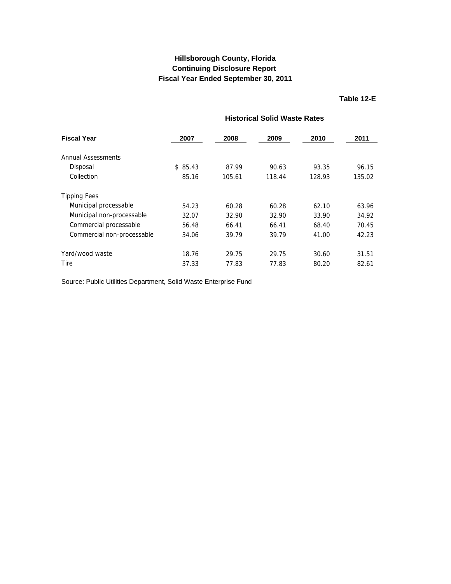### **Table 12-E**

# **Historical Solid Waste Rates**

<span id="page-48-0"></span>

| <b>Fiscal Year</b>         | 2007    | 2008   | 2009   | 2010   | 2011   |
|----------------------------|---------|--------|--------|--------|--------|
|                            |         |        |        |        |        |
| Annual Assessments         |         |        |        |        |        |
| Disposal                   | \$85.43 | 87.99  | 90.63  | 93.35  | 96.15  |
| Collection                 | 85.16   | 105.61 | 118.44 | 128.93 | 135.02 |
| <b>Tipping Fees</b>        |         |        |        |        |        |
| Municipal processable      | 54.23   | 60.28  | 60.28  | 62.10  | 63.96  |
| Municipal non-processable  | 32.07   | 32.90  | 32.90  | 33.90  | 34.92  |
| Commercial processable     | 56.48   | 66.41  | 66.41  | 68.40  | 70.45  |
| Commercial non-processable | 34.06   | 39.79  | 39.79  | 41.00  | 42.23  |
| Yard/wood waste            | 18.76   | 29.75  | 29.75  | 30.60  | 31.51  |
| Tire                       | 37.33   | 77.83  | 77.83  | 80.20  | 82.61  |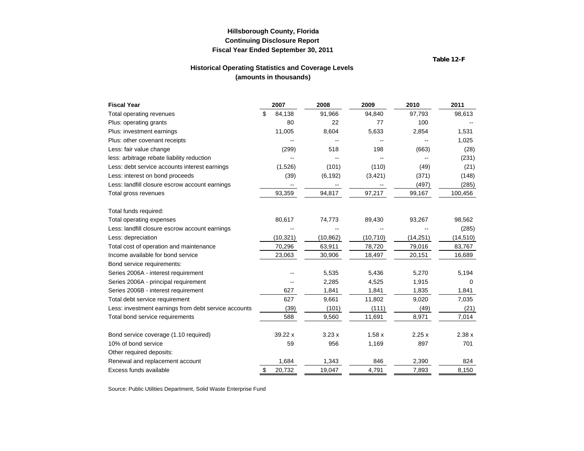**Table 12-F**

### **Historical Operating Statistics and Coverage Levels (amounts in thousands)**

<span id="page-49-0"></span>

| <b>Fiscal Year</b>                                   | 2007         | 2008      | 2009      | 2010      | 2011      |
|------------------------------------------------------|--------------|-----------|-----------|-----------|-----------|
| Total operating revenues                             | 84,138       | 91,966    | 94,840    | 97,793    | 98,613    |
| Plus: operating grants                               | 80           | 22        | 77        | 100       |           |
| Plus: investment earnings                            | 11,005       | 8,604     | 5,633     | 2,854     | 1,531     |
| Plus: other covenant receipts                        |              |           |           |           | 1,025     |
| Less: fair value change                              | (299)        | 518       | 198       | (663)     | (28)      |
| less: arbitrage rebate liability reduction           |              |           |           |           | (231)     |
| Less: debt service accounts interest earnings        | (1,526)      | (101)     | (110)     | (49)      | (21)      |
| Less: interest on bond proceeds                      | (39)         | (6, 192)  | (3,421)   | (371)     | (148)     |
| Less: landfill closure escrow account earnings       |              |           |           | (497)     | (285)     |
| Total gross revenues                                 | 93,359       | 94,817    | 97,217    | 99,167    | 100,456   |
| Total funds required:                                |              |           |           |           |           |
| Total operating expenses                             | 80,617       | 74,773    | 89,430    | 93,267    | 98,562    |
| Less: landfill closure escrow account earnings       |              |           |           |           | (285)     |
| Less: depreciation                                   | (10, 321)    | (10, 862) | (10, 710) | (14, 251) | (14, 510) |
| Total cost of operation and maintenance              | 70,296       | 63,911    | 78,720    | 79,016    | 83,767    |
| Income available for bond service                    | 23,063       | 30,906    | 18,497    | 20,151    | 16,689    |
| Bond service requirements:                           |              |           |           |           |           |
| Series 2006A - interest requirement                  |              | 5,535     | 5,436     | 5,270     | 5,194     |
| Series 2006A - principal requirement                 |              | 2,285     | 4,525     | 1,915     | 0         |
| Series 2006B - interest requirement                  | 627          | 1,841     | 1,841     | 1,835     | 1,841     |
| Total debt service requirement                       | 627          | 9,661     | 11,802    | 9,020     | 7,035     |
| Less: investment earnings from debt service accounts | (39)         | (101)     | (111)     | (49)      | (21)      |
| Total bond service requirements                      | 588          | 9,560     | 11,691    | 8,971     | 7,014     |
| Bond service coverage (1.10 required)                | 39.22 x      | 3.23x     | 1.58x     | 2.25x     | 2.38x     |
| 10% of bond service                                  | 59           | 956       | 1,169     | 897       | 701       |
| Other required deposits:                             |              |           |           |           |           |
| Renewal and replacement account                      | 1,684        | 1,343     | 846       | 2,390     | 824       |
| Excess funds available                               | \$<br>20,732 | 19,047    | 4,791     | 7,893     | 8,150     |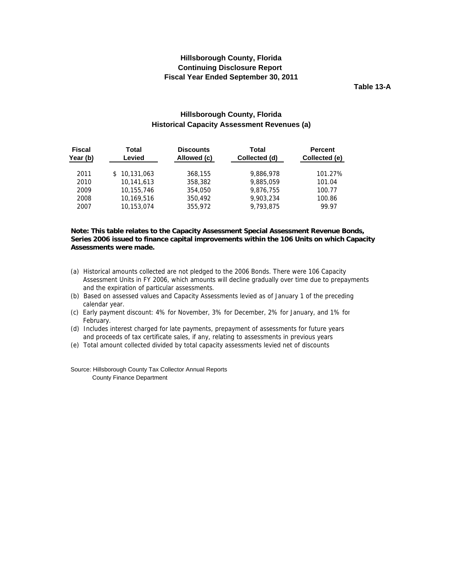**Table 13-A**

### **Hillsborough County, Florida Historical Capacity Assessment Revenues (a)**

<span id="page-50-0"></span>

| <b>Fiscal</b><br>Year (b) | Total<br>Levied | <b>Discounts</b><br>Allowed (c) | Total<br>Collected (d) | <b>Percent</b><br>Collected (e) |
|---------------------------|-----------------|---------------------------------|------------------------|---------------------------------|
| 2011                      | 10,131,063      | 368,155                         | 9,886,978              | 101.27%                         |
| 2010                      | 10,141,613      | 358,382                         | 9,885,059              | 101.04                          |
| 2009                      | 10,155,746      | 354,050                         | 9,876,755              | 100.77                          |
| 2008                      | 10,169,516      | 350,492                         | 9,903,234              | 100.86                          |
| 2007                      | 10,153,074      | 355,972                         | 9.793.875              | 99.97                           |

#### **Note: This table relates to the Capacity Assessment Special Assessment Revenue Bonds, Series 2006 issued to finance capital improvements within the 106 Units on which Capacity Assessments were made.**

- (a) Historical amounts collected are not pledged to the 2006 Bonds. There were 106 Capacity Assessment Units in FY 2006, which amounts will decline gradually over time due to prepayments and the expiration of particular assessments.
- (b) Based on assessed values and Capacity Assessments levied as of January 1 of the preceding calendar year.
- (c) Early payment discount: 4% for November, 3% for December, 2% for January, and 1% for February.
- (d) Includes interest charged for late payments, prepayment of assessments for future years and proceeds of tax certificate sales, if any, relating to assessments in previous years
- (e) Total amount collected divided by total capacity assessments levied net of discounts

Source: Hillsborough County Tax Collector Annual Reports County Finance Department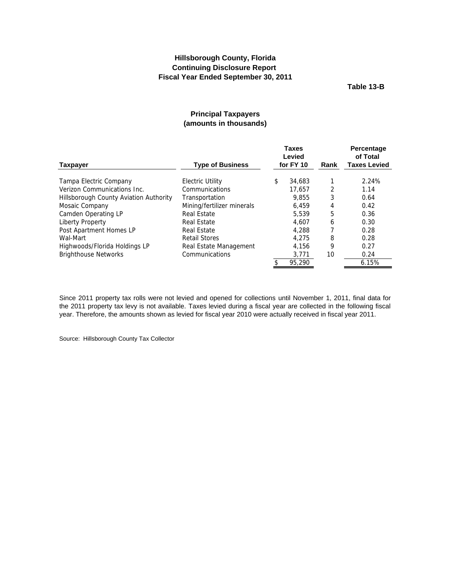**Table 13-B**

### **Principal Taxpayers (amounts in thousands)**

<span id="page-51-0"></span>

|                                        |                            | <b>Taxes</b><br>Levied |        |      | Percentage<br>of Total |  |
|----------------------------------------|----------------------------|------------------------|--------|------|------------------------|--|
| <b>Taxpayer</b>                        | <b>Type of Business</b>    | for FY 10              |        | Rank | <b>Taxes Levied</b>    |  |
| Tampa Electric Company                 | Electric Utility           | \$                     | 34,683 |      | 2.24%                  |  |
| Verizon Communications Inc.            | Communications             |                        | 17.657 | 2    | 1.14                   |  |
| Hillsborough County Aviation Authority | Transportation             |                        | 9.855  | 3    | 0.64                   |  |
| Mosaic Company                         | Mining/fertilizer minerals |                        | 6.459  | 4    | 0.42                   |  |
| Camden Operating LP                    | Real Estate                |                        | 5.539  | 5    | 0.36                   |  |
| Liberty Property                       | Real Estate                |                        | 4.607  | 6    | 0.30                   |  |
| Post Apartment Homes LP                | Real Estate                |                        | 4,288  |      | 0.28                   |  |
| Wal-Mart                               | <b>Retail Stores</b>       |                        | 4.275  | 8    | 0.28                   |  |
| Highwoods/Florida Holdings LP          | Real Estate Management     |                        | 4.156  | 9    | 0.27                   |  |
| <b>Brighthouse Networks</b>            | Communications             |                        | 3,771  | 10   | 0.24                   |  |
|                                        |                            |                        | 95.290 |      | 6.15%                  |  |

Since 2011 property tax rolls were not levied and opened for collections until November 1, 2011, final data for the 2011 property tax levy is not available. Taxes levied during a fiscal year are collected in the following fiscal year. Therefore, the amounts shown as levied for fiscal year 2010 were actually received in fiscal year 2011.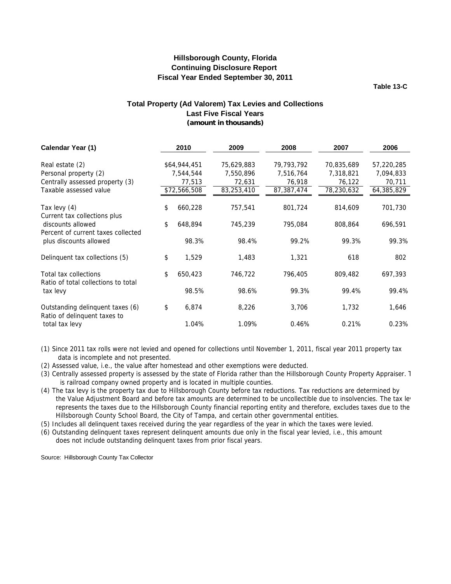**Table 13-C**

### **(amount in thousands) Total Property (Ad Valorem) Tax Levies and Collections Last Five Fiscal Years**

<span id="page-52-0"></span>

| Calendar Year (1)                                                | 2010          | 2009       | 2008       | 2007       | 2006       |
|------------------------------------------------------------------|---------------|------------|------------|------------|------------|
|                                                                  |               |            |            |            |            |
| Real estate (2)                                                  | \$64,944,451  | 75,629,883 | 79,793,792 | 70,835,689 | 57,220,285 |
| Personal property (2)                                            | 7,544,544     | 7,550,896  | 7,516,764  | 7,318,821  | 7,094,833  |
| Centrally assessed property (3)                                  | 77,513        | 72,631     | 76,918     | 76,122     | 70,711     |
| Taxable assessed value                                           | \$72,566,508  | 83,253,410 | 87,387,474 | 78,230,632 | 64,385,829 |
| Tax levy (4)                                                     | \$<br>660,228 | 757,541    | 801,724    | 814,609    | 701,730    |
| Current tax collections plus<br>discounts allowed                | \$<br>648,894 | 745,239    | 795,084    | 808,864    | 696,591    |
| Percent of current taxes collected<br>plus discounts allowed     | 98.3%         | 98.4%      | 99.2%      | 99.3%      | 99.3%      |
| Delinquent tax collections (5)                                   | \$<br>1,529   | 1,483      | 1,321      | 618        | 802        |
| Total tax collections<br>Ratio of total collections to total     | \$<br>650,423 | 746,722    | 796,405    | 809,482    | 697,393    |
| tax levy                                                         | 98.5%         | 98.6%      | 99.3%      | 99.4%      | 99.4%      |
| Outstanding delinquent taxes (6)<br>Ratio of delinquent taxes to | \$<br>6,874   | 8,226      | 3,706      | 1,732      | 1,646      |
| total tax levy                                                   | 1.04%         | 1.09%      | 0.46%      | 0.21%      | 0.23%      |

(1) Since 2011 tax rolls were not levied and opened for collections until November 1, 2011, fiscal year 2011 property tax data is incomplete and not presented.

(2) Assessed value, i.e., the value after homestead and other exemptions were deducted.

(3) Centrally assessed property is assessed by the state of Florida rather than the Hillsborough County Property Appraiser. T is railroad company owned property and is located in multiple counties.

(4) The tax levy is the property tax due to Hillsborough County before tax reductions. Tax reductions are determined by the Value Adjustment Board and before tax amounts are determined to be uncollectible due to insolvencies. The tax lev represents the taxes due to the Hillsborough County financial reporting entity and therefore, excludes taxes due to the Hillsborough County School Board, the City of Tampa, and certain other governmental entities.

(5) Includes all delinquent taxes received during the year regardless of the year in which the taxes were levied.

(6) Outstanding delinquent taxes represent delinquent amounts due only in the fiscal year levied, i.e., this amount does not include outstanding delinquent taxes from prior fiscal years.